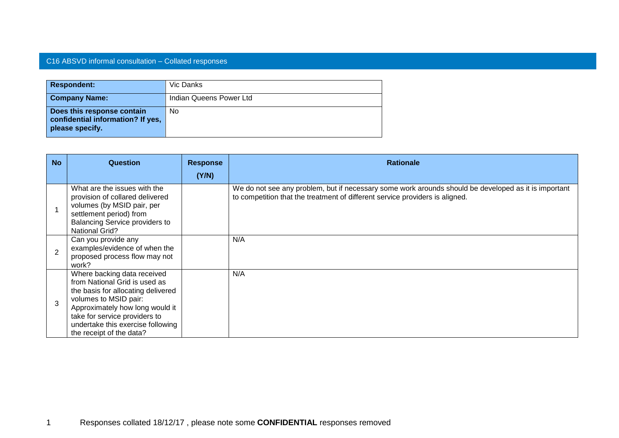## C16 ABSVD informal consultation – Collated responses

| <b>Respondent:</b>                                                                 | Vic Danks               |
|------------------------------------------------------------------------------------|-------------------------|
| <b>Company Name:</b>                                                               | Indian Queens Power Ltd |
| Does this response contain<br>confidential information? If yes,<br>please specify. | No.                     |

| <b>No</b>      | <b>Question</b>                                                                                                                                                                                                                                                  | <b>Response</b><br>(Y/N) | <b>Rationale</b>                                                                                                                                                                     |
|----------------|------------------------------------------------------------------------------------------------------------------------------------------------------------------------------------------------------------------------------------------------------------------|--------------------------|--------------------------------------------------------------------------------------------------------------------------------------------------------------------------------------|
|                | What are the issues with the<br>provision of collared delivered<br>volumes (by MSID pair, per<br>settlement period) from<br><b>Balancing Service providers to</b><br><b>National Grid?</b>                                                                       |                          | We do not see any problem, but if necessary some work arounds should be developed as it is important<br>to competition that the treatment of different service providers is aligned. |
| $\overline{2}$ | Can you provide any<br>examples/evidence of when the<br>proposed process flow may not<br>work?                                                                                                                                                                   |                          | N/A                                                                                                                                                                                  |
| 3              | Where backing data received<br>from National Grid is used as<br>the basis for allocating delivered<br>volumes to MSID pair:<br>Approximately how long would it<br>take for service providers to<br>undertake this exercise following<br>the receipt of the data? |                          | N/A                                                                                                                                                                                  |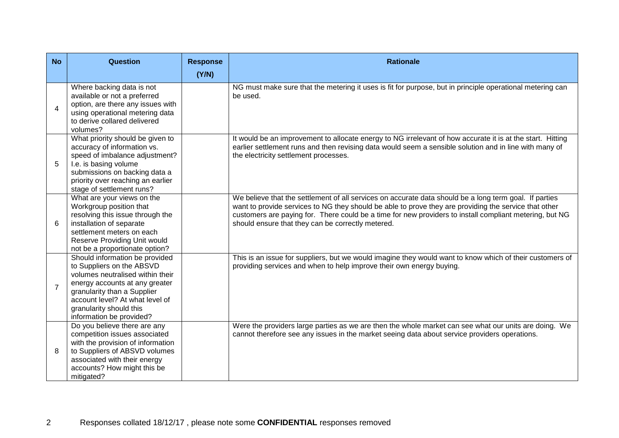| <b>No</b>                | <b>Question</b>                                                                                                                                                                                                                                            | <b>Response</b> | <b>Rationale</b>                                                                                                                                                                                                                                                                                                                                                                |
|--------------------------|------------------------------------------------------------------------------------------------------------------------------------------------------------------------------------------------------------------------------------------------------------|-----------------|---------------------------------------------------------------------------------------------------------------------------------------------------------------------------------------------------------------------------------------------------------------------------------------------------------------------------------------------------------------------------------|
|                          |                                                                                                                                                                                                                                                            | (Y/N)           |                                                                                                                                                                                                                                                                                                                                                                                 |
| $\overline{\mathcal{A}}$ | Where backing data is not<br>available or not a preferred<br>option, are there any issues with<br>using operational metering data<br>to derive collared delivered<br>volumes?                                                                              |                 | NG must make sure that the metering it uses is fit for purpose, but in principle operational metering can<br>be used.                                                                                                                                                                                                                                                           |
| 5                        | What priority should be given to<br>accuracy of information vs.<br>speed of imbalance adjustment?<br>I.e. is basing volume<br>submissions on backing data a<br>priority over reaching an earlier<br>stage of settlement runs?                              |                 | It would be an improvement to allocate energy to NG irrelevant of how accurate it is at the start. Hitting<br>earlier settlement runs and then revising data would seem a sensible solution and in line with many of<br>the electricity settlement processes.                                                                                                                   |
| 6                        | What are your views on the<br>Workgroup position that<br>resolving this issue through the<br>installation of separate<br>settlement meters on each<br>Reserve Providing Unit would<br>not be a proportionate option?                                       |                 | We believe that the settlement of all services on accurate data should be a long term goal. If parties<br>want to provide services to NG they should be able to prove they are providing the service that other<br>customers are paying for. There could be a time for new providers to install compliant metering, but NG<br>should ensure that they can be correctly metered. |
| $\overline{7}$           | Should information be provided<br>to Suppliers on the ABSVD<br>volumes neutralised within their<br>energy accounts at any greater<br>granularity than a Supplier<br>account level? At what level of<br>granularity should this<br>information be provided? |                 | This is an issue for suppliers, but we would imagine they would want to know which of their customers of<br>providing services and when to help improve their own energy buying.                                                                                                                                                                                                |
| 8                        | Do you believe there are any<br>competition issues associated<br>with the provision of information<br>to Suppliers of ABSVD volumes<br>associated with their energy<br>accounts? How might this be<br>mitigated?                                           |                 | Were the providers large parties as we are then the whole market can see what our units are doing. We<br>cannot therefore see any issues in the market seeing data about service providers operations.                                                                                                                                                                          |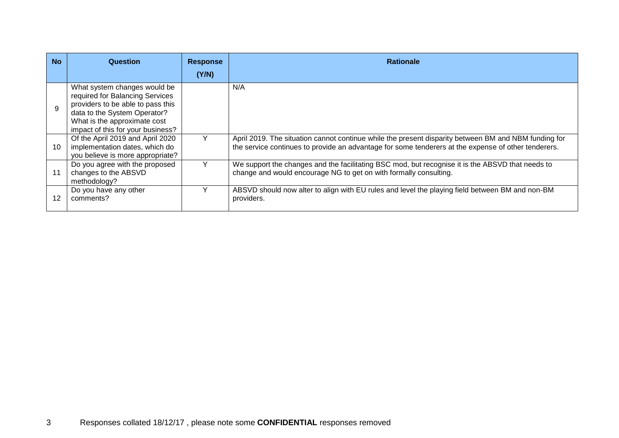| <b>No</b>    | Question                                                                                                                                                                                                  | <b>Response</b> | <b>Rationale</b>                                                                                                                                                                                            |
|--------------|-----------------------------------------------------------------------------------------------------------------------------------------------------------------------------------------------------------|-----------------|-------------------------------------------------------------------------------------------------------------------------------------------------------------------------------------------------------------|
|              |                                                                                                                                                                                                           | (Y/N)           |                                                                                                                                                                                                             |
| $\mathbf{Q}$ | What system changes would be<br>required for Balancing Services<br>providers to be able to pass this<br>data to the System Operator?<br>What is the approximate cost<br>impact of this for your business? |                 | N/A                                                                                                                                                                                                         |
| 10           | Of the April 2019 and April 2020<br>implementation dates, which do<br>you believe is more appropriate?                                                                                                    |                 | April 2019. The situation cannot continue while the present disparity between BM and NBM funding for<br>the service continues to provide an advantage for some tenderers at the expense of other tenderers. |
| 11           | Do you agree with the proposed<br>changes to the ABSVD<br>methodology?                                                                                                                                    | Υ               | We support the changes and the facilitating BSC mod, but recognise it is the ABSVD that needs to<br>change and would encourage NG to get on with formally consulting.                                       |
| 12           | Do you have any other<br>comments?                                                                                                                                                                        |                 | ABSVD should now alter to align with EU rules and level the playing field between BM and non-BM<br>providers.                                                                                               |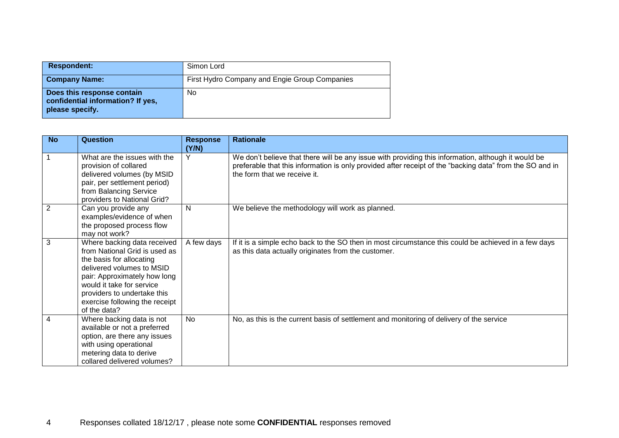| <b>Respondent:</b>                                                                 | Simon Lord                                    |
|------------------------------------------------------------------------------------|-----------------------------------------------|
| <b>Company Name:</b>                                                               | First Hydro Company and Engie Group Companies |
| Does this response contain<br>confidential information? If yes,<br>please specify. | No                                            |

| <b>No</b> | <b>Question</b>                                                                                                                                                                                                                                                     | <b>Response</b><br>(Y/N) | <b>Rationale</b>                                                                                                                                                                                                                                |
|-----------|---------------------------------------------------------------------------------------------------------------------------------------------------------------------------------------------------------------------------------------------------------------------|--------------------------|-------------------------------------------------------------------------------------------------------------------------------------------------------------------------------------------------------------------------------------------------|
|           | What are the issues with the<br>provision of collared<br>delivered volumes (by MSID<br>pair, per settlement period)<br>from Balancing Service<br>providers to National Grid?                                                                                        |                          | We don't believe that there will be any issue with providing this information, although it would be<br>preferable that this information is only provided after receipt of the "backing data" from the SO and in<br>the form that we receive it. |
| 2         | Can you provide any<br>examples/evidence of when<br>the proposed process flow<br>may not work?                                                                                                                                                                      | N                        | We believe the methodology will work as planned.                                                                                                                                                                                                |
| 3         | Where backing data received<br>from National Grid is used as<br>the basis for allocating<br>delivered volumes to MSID<br>pair: Approximately how long<br>would it take for service<br>providers to undertake this<br>exercise following the receipt<br>of the data? | A few days               | If it is a simple echo back to the SO then in most circumstance this could be achieved in a few days<br>as this data actually originates from the customer.                                                                                     |
| 4         | Where backing data is not<br>available or not a preferred<br>option, are there any issues<br>with using operational<br>metering data to derive<br>collared delivered volumes?                                                                                       | <b>No</b>                | No, as this is the current basis of settlement and monitoring of delivery of the service                                                                                                                                                        |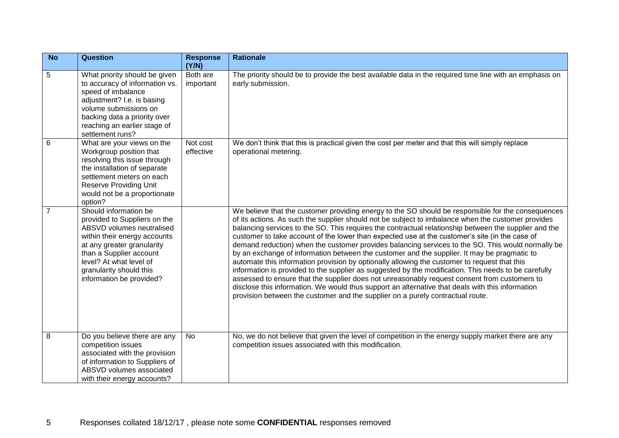| <b>No</b>      | <b>Question</b>                                                                                                                                                                                                                                               | <b>Response</b><br>(Y/N) | <b>Rationale</b>                                                                                                                                                                                                                                                                                                                                                                                                                                                                                                                                                                                                                                                                                                                                                                                                                                                                                                                                                                                                                                                                                                      |
|----------------|---------------------------------------------------------------------------------------------------------------------------------------------------------------------------------------------------------------------------------------------------------------|--------------------------|-----------------------------------------------------------------------------------------------------------------------------------------------------------------------------------------------------------------------------------------------------------------------------------------------------------------------------------------------------------------------------------------------------------------------------------------------------------------------------------------------------------------------------------------------------------------------------------------------------------------------------------------------------------------------------------------------------------------------------------------------------------------------------------------------------------------------------------------------------------------------------------------------------------------------------------------------------------------------------------------------------------------------------------------------------------------------------------------------------------------------|
| 5              | What priority should be given<br>to accuracy of information vs.<br>speed of imbalance<br>adjustment? I.e. is basing<br>volume submissions on<br>backing data a priority over<br>reaching an earlier stage of<br>settlement runs?                              | Both are<br>important    | The priority should be to provide the best available data in the required time line with an emphasis on<br>early submission.                                                                                                                                                                                                                                                                                                                                                                                                                                                                                                                                                                                                                                                                                                                                                                                                                                                                                                                                                                                          |
| 6              | What are your views on the<br>Workgroup position that<br>resolving this issue through<br>the installation of separate<br>settlement meters on each<br><b>Reserve Providing Unit</b><br>would not be a proportionate<br>option?                                | Not cost<br>effective    | We don't think that this is practical given the cost per meter and that this will simply replace<br>operational metering.                                                                                                                                                                                                                                                                                                                                                                                                                                                                                                                                                                                                                                                                                                                                                                                                                                                                                                                                                                                             |
| $\overline{7}$ | Should information be<br>provided to Suppliers on the<br>ABSVD volumes neutralised<br>within their energy accounts<br>at any greater granularity<br>than a Supplier account<br>level? At what level of<br>granularity should this<br>information be provided? |                          | We believe that the customer providing energy to the SO should be responsible for the consequences<br>of its actions. As such the supplier should not be subject to imbalance when the customer provides<br>balancing services to the SO. This requires the contractual relationship between the supplier and the<br>customer to take account of the lower than expected use at the customer's site (in the case of<br>demand reduction) when the customer provides balancing services to the SO. This would normally be<br>by an exchange of information between the customer and the supplier. It may be pragmatic to<br>automate this information provision by optionally allowing the customer to request that this<br>information is provided to the supplier as suggested by the modification. This needs to be carefully<br>assessed to ensure that the supplier does not unreasonably request consent from customers to<br>disclose this information. We would thus support an alternative that deals with this information<br>provision between the customer and the supplier on a purely contractual route. |
| 8              | Do you believe there are any<br>competition issues<br>associated with the provision<br>of information to Suppliers of<br>ABSVD volumes associated<br>with their energy accounts?                                                                              | No                       | No, we do not believe that given the level of competition in the energy supply market there are any<br>competition issues associated with this modification.                                                                                                                                                                                                                                                                                                                                                                                                                                                                                                                                                                                                                                                                                                                                                                                                                                                                                                                                                          |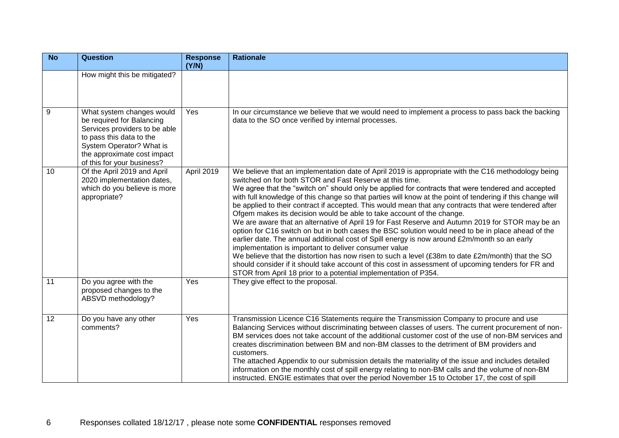| <b>No</b> | <b>Question</b>                                                                                                                                                                                              | <b>Response</b><br>(Y/N) | <b>Rationale</b>                                                                                                                                                                                                                                                                                                                                                                                                                                                                                                                                                                                                                                                                                                                                                                                                                                                                                                                                                                                                                                                                                                                                                                                                       |
|-----------|--------------------------------------------------------------------------------------------------------------------------------------------------------------------------------------------------------------|--------------------------|------------------------------------------------------------------------------------------------------------------------------------------------------------------------------------------------------------------------------------------------------------------------------------------------------------------------------------------------------------------------------------------------------------------------------------------------------------------------------------------------------------------------------------------------------------------------------------------------------------------------------------------------------------------------------------------------------------------------------------------------------------------------------------------------------------------------------------------------------------------------------------------------------------------------------------------------------------------------------------------------------------------------------------------------------------------------------------------------------------------------------------------------------------------------------------------------------------------------|
|           | How might this be mitigated?                                                                                                                                                                                 |                          |                                                                                                                                                                                                                                                                                                                                                                                                                                                                                                                                                                                                                                                                                                                                                                                                                                                                                                                                                                                                                                                                                                                                                                                                                        |
| 9         | What system changes would<br>be required for Balancing<br>Services providers to be able<br>to pass this data to the<br>System Operator? What is<br>the approximate cost impact<br>of this for your business? | Yes                      | In our circumstance we believe that we would need to implement a process to pass back the backing<br>data to the SO once verified by internal processes.                                                                                                                                                                                                                                                                                                                                                                                                                                                                                                                                                                                                                                                                                                                                                                                                                                                                                                                                                                                                                                                               |
| 10        | Of the April 2019 and April<br>2020 implementation dates,<br>which do you believe is more<br>appropriate?                                                                                                    | April 2019               | We believe that an implementation date of April 2019 is appropriate with the C16 methodology being<br>switched on for both STOR and Fast Reserve at this time.<br>We agree that the "switch on" should only be applied for contracts that were tendered and accepted<br>with full knowledge of this change so that parties will know at the point of tendering if this change will<br>be applied to their contract if accepted. This would mean that any contracts that were tendered after<br>Ofgem makes its decision would be able to take account of the change.<br>We are aware that an alternative of April 19 for Fast Reserve and Autumn 2019 for STOR may be an<br>option for C16 switch on but in both cases the BSC solution would need to be in place ahead of the<br>earlier date. The annual additional cost of Spill energy is now around £2m/month so an early<br>implementation is important to deliver consumer value<br>We believe that the distortion has now risen to such a level (£38m to date £2m/month) that the SO<br>should consider if it should take account of this cost in assessment of upcoming tenders for FR and<br>STOR from April 18 prior to a potential implementation of P354. |
| 11        | Do you agree with the<br>proposed changes to the<br>ABSVD methodology?                                                                                                                                       | Yes                      | They give effect to the proposal.                                                                                                                                                                                                                                                                                                                                                                                                                                                                                                                                                                                                                                                                                                                                                                                                                                                                                                                                                                                                                                                                                                                                                                                      |
| 12        | Do you have any other<br>comments?                                                                                                                                                                           | Yes                      | Transmission Licence C16 Statements require the Transmission Company to procure and use<br>Balancing Services without discriminating between classes of users. The current procurement of non-<br>BM services does not take account of the additional customer cost of the use of non-BM services and<br>creates discrimination between BM and non-BM classes to the detriment of BM providers and<br>customers.<br>The attached Appendix to our submission details the materiality of the issue and includes detailed<br>information on the monthly cost of spill energy relating to non-BM calls and the volume of non-BM<br>instructed. ENGIE estimates that over the period November 15 to October 17, the cost of spill                                                                                                                                                                                                                                                                                                                                                                                                                                                                                           |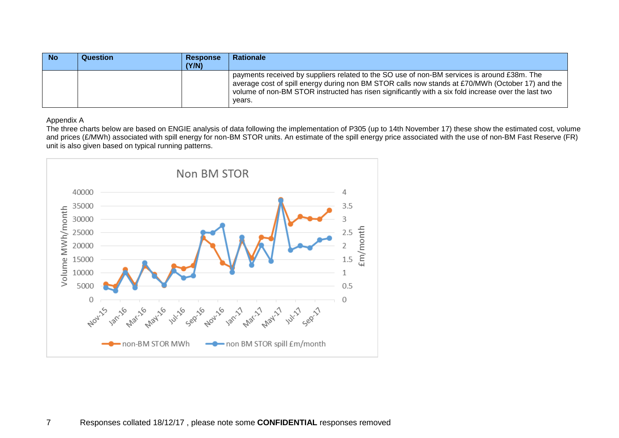| <b>No</b> | Question | <b>Response</b> | <b>Rationale</b>                                                                                                                                                                                                                                                                                                 |
|-----------|----------|-----------------|------------------------------------------------------------------------------------------------------------------------------------------------------------------------------------------------------------------------------------------------------------------------------------------------------------------|
|           |          | (Y/N)           |                                                                                                                                                                                                                                                                                                                  |
|           |          |                 | payments received by suppliers related to the SO use of non-BM services is around £38m. The<br>average cost of spill energy during non BM STOR calls now stands at £70/MWh (October 17) and the<br>volume of non-BM STOR instructed has risen significantly with a six fold increase over the last two<br>vears. |

## Appendix A

The three charts below are based on ENGIE analysis of data following the implementation of P305 (up to 14th November 17) these show the estimated cost, volume and prices (£/MWh) associated with spill energy for non-BM STOR units. An estimate of the spill energy price associated with the use of non-BM Fast Reserve (FR) unit is also given based on typical running patterns.

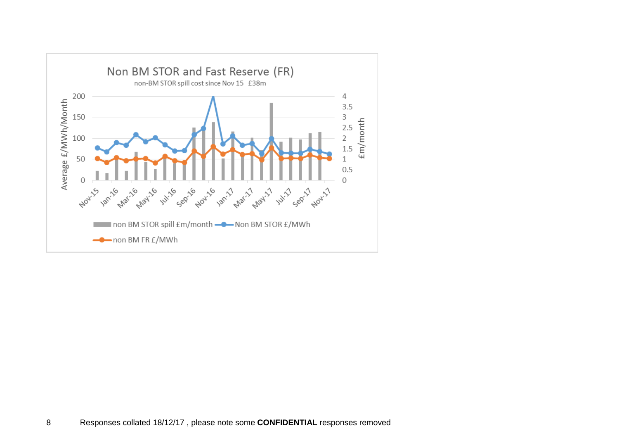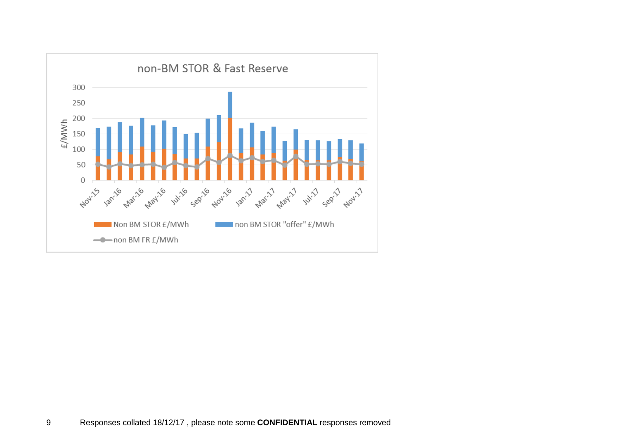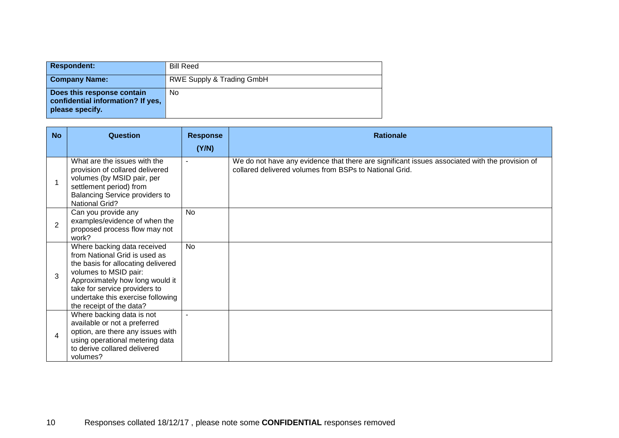| <b>Respondent:</b>                                                                 | <b>Bill Reed</b>          |
|------------------------------------------------------------------------------------|---------------------------|
| <b>Company Name:</b>                                                               | RWE Supply & Trading GmbH |
| Does this response contain<br>confidential information? If yes,<br>please specify. | No                        |

| <b>No</b>                | Question                                                                                                                                                                                                                                                         | <b>Response</b> | <b>Rationale</b>                                                                                                                                         |
|--------------------------|------------------------------------------------------------------------------------------------------------------------------------------------------------------------------------------------------------------------------------------------------------------|-----------------|----------------------------------------------------------------------------------------------------------------------------------------------------------|
|                          |                                                                                                                                                                                                                                                                  | (Y/N)           |                                                                                                                                                          |
|                          | What are the issues with the<br>provision of collared delivered<br>volumes (by MSID pair, per<br>settlement period) from<br>Balancing Service providers to<br><b>National Grid?</b>                                                                              |                 | We do not have any evidence that there are significant issues associated with the provision of<br>collared delivered volumes from BSPs to National Grid. |
| $\overline{2}$           | Can you provide any<br>examples/evidence of when the<br>proposed process flow may not<br>work?                                                                                                                                                                   | <b>No</b>       |                                                                                                                                                          |
| 3                        | Where backing data received<br>from National Grid is used as<br>the basis for allocating delivered<br>volumes to MSID pair:<br>Approximately how long would it<br>take for service providers to<br>undertake this exercise following<br>the receipt of the data? | <b>No</b>       |                                                                                                                                                          |
| $\overline{\mathcal{A}}$ | Where backing data is not<br>available or not a preferred<br>option, are there any issues with<br>using operational metering data<br>to derive collared delivered<br>volumes?                                                                                    |                 |                                                                                                                                                          |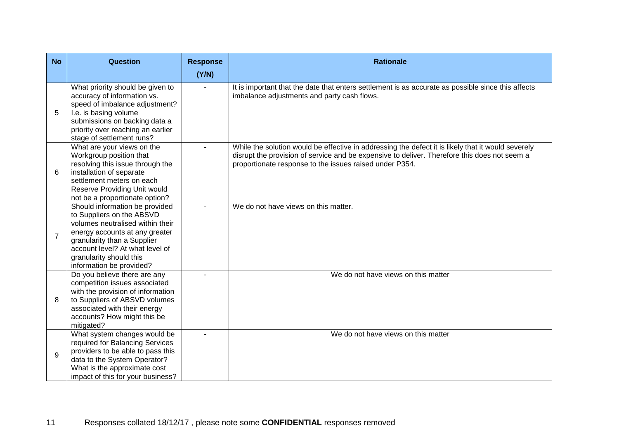| <b>No</b>      | <b>Question</b>                                                                                                                                                                                                                                            | <b>Response</b> | <b>Rationale</b>                                                                                                                                                                                                                                              |
|----------------|------------------------------------------------------------------------------------------------------------------------------------------------------------------------------------------------------------------------------------------------------------|-----------------|---------------------------------------------------------------------------------------------------------------------------------------------------------------------------------------------------------------------------------------------------------------|
|                |                                                                                                                                                                                                                                                            | (Y/N)           |                                                                                                                                                                                                                                                               |
| 5              | What priority should be given to<br>accuracy of information vs.<br>speed of imbalance adjustment?<br>I.e. is basing volume<br>submissions on backing data a<br>priority over reaching an earlier<br>stage of settlement runs?                              |                 | It is important that the date that enters settlement is as accurate as possible since this affects<br>imbalance adjustments and party cash flows.                                                                                                             |
| 6              | What are your views on the<br>Workgroup position that<br>resolving this issue through the<br>installation of separate<br>settlement meters on each<br>Reserve Providing Unit would<br>not be a proportionate option?                                       |                 | While the solution would be effective in addressing the defect it is likely that it would severely<br>disrupt the provision of service and be expensive to deliver. Therefore this does not seem a<br>proportionate response to the issues raised under P354. |
| $\overline{7}$ | Should information be provided<br>to Suppliers on the ABSVD<br>volumes neutralised within their<br>energy accounts at any greater<br>granularity than a Supplier<br>account level? At what level of<br>granularity should this<br>information be provided? |                 | We do not have views on this matter.                                                                                                                                                                                                                          |
| 8              | Do you believe there are any<br>competition issues associated<br>with the provision of information<br>to Suppliers of ABSVD volumes<br>associated with their energy<br>accounts? How might this be<br>mitigated?                                           | ÷               | We do not have views on this matter                                                                                                                                                                                                                           |
| 9              | What system changes would be<br>required for Balancing Services<br>providers to be able to pass this<br>data to the System Operator?<br>What is the approximate cost<br>impact of this for your business?                                                  |                 | We do not have views on this matter                                                                                                                                                                                                                           |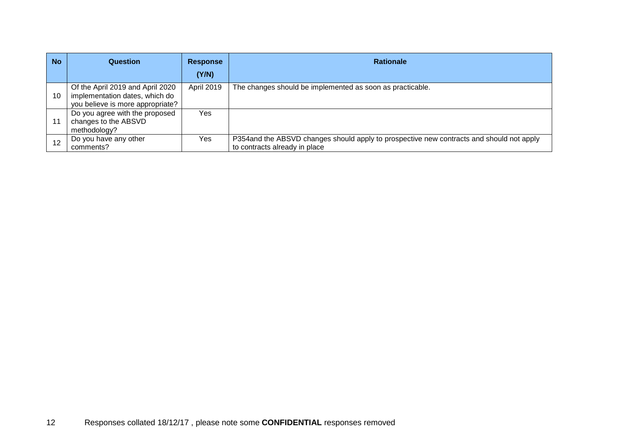| <b>No</b> | Question                                                                                               | <b>Response</b> | <b>Rationale</b>                                                                                                           |
|-----------|--------------------------------------------------------------------------------------------------------|-----------------|----------------------------------------------------------------------------------------------------------------------------|
|           |                                                                                                        | (Y/N)           |                                                                                                                            |
| 10        | Of the April 2019 and April 2020<br>implementation dates, which do<br>you believe is more appropriate? | April 2019      | The changes should be implemented as soon as practicable.                                                                  |
| 11        | Do you agree with the proposed<br>changes to the ABSVD<br>methodology?                                 | Yes.            |                                                                                                                            |
| 12        | Do you have any other<br>comments?                                                                     | Yes             | P354 and the ABSVD changes should apply to prospective new contracts and should not apply<br>to contracts already in place |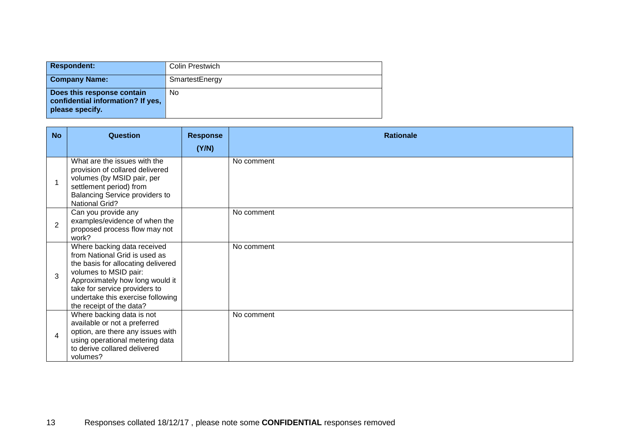| <b>Respondent:</b>                                                                 | Colin Prestwich |
|------------------------------------------------------------------------------------|-----------------|
| <b>Company Name:</b>                                                               | SmartestEnergy  |
| Does this response contain<br>confidential information? If yes,<br>please specify. | No              |

| <b>No</b>      | Question                                                                                                                                                                                                                                                         | <b>Response</b> | <b>Rationale</b> |
|----------------|------------------------------------------------------------------------------------------------------------------------------------------------------------------------------------------------------------------------------------------------------------------|-----------------|------------------|
|                |                                                                                                                                                                                                                                                                  | (Y/N)           |                  |
| -1             | What are the issues with the<br>provision of collared delivered<br>volumes (by MSID pair, per<br>settlement period) from<br>Balancing Service providers to<br><b>National Grid?</b>                                                                              |                 | No comment       |
| $\overline{2}$ | Can you provide any<br>examples/evidence of when the<br>proposed process flow may not<br>work?                                                                                                                                                                   |                 | No comment       |
| 3              | Where backing data received<br>from National Grid is used as<br>the basis for allocating delivered<br>volumes to MSID pair:<br>Approximately how long would it<br>take for service providers to<br>undertake this exercise following<br>the receipt of the data? |                 | No comment       |
| $\overline{4}$ | Where backing data is not<br>available or not a preferred<br>option, are there any issues with<br>using operational metering data<br>to derive collared delivered<br>volumes?                                                                                    |                 | No comment       |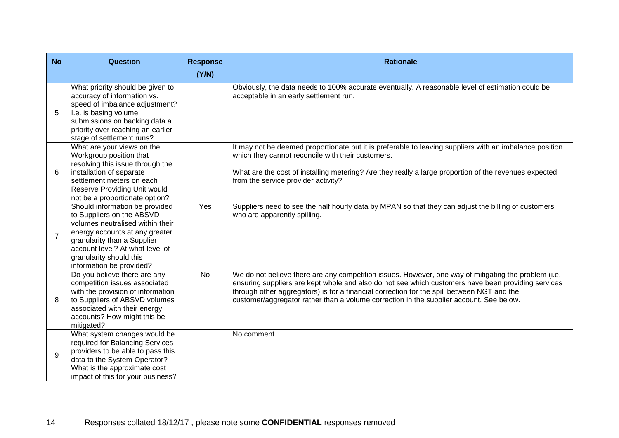| <b>No</b>      | <b>Question</b>                                                                                                                                                                                                                                            | <b>Response</b><br>(Y/N) | <b>Rationale</b>                                                                                                                                                                                                                                                                                                                                                                                    |
|----------------|------------------------------------------------------------------------------------------------------------------------------------------------------------------------------------------------------------------------------------------------------------|--------------------------|-----------------------------------------------------------------------------------------------------------------------------------------------------------------------------------------------------------------------------------------------------------------------------------------------------------------------------------------------------------------------------------------------------|
| 5              | What priority should be given to<br>accuracy of information vs.<br>speed of imbalance adjustment?<br>I.e. is basing volume<br>submissions on backing data a<br>priority over reaching an earlier<br>stage of settlement runs?                              |                          | Obviously, the data needs to 100% accurate eventually. A reasonable level of estimation could be<br>acceptable in an early settlement run.                                                                                                                                                                                                                                                          |
| 6              | What are your views on the<br>Workgroup position that<br>resolving this issue through the<br>installation of separate<br>settlement meters on each<br>Reserve Providing Unit would<br>not be a proportionate option?                                       |                          | It may not be deemed proportionate but it is preferable to leaving suppliers with an imbalance position<br>which they cannot reconcile with their customers.<br>What are the cost of installing metering? Are they really a large proportion of the revenues expected<br>from the service provider activity?                                                                                        |
| $\overline{7}$ | Should information be provided<br>to Suppliers on the ABSVD<br>volumes neutralised within their<br>energy accounts at any greater<br>granularity than a Supplier<br>account level? At what level of<br>granularity should this<br>information be provided? | Yes                      | Suppliers need to see the half hourly data by MPAN so that they can adjust the billing of customers<br>who are apparently spilling.                                                                                                                                                                                                                                                                 |
| 8              | Do you believe there are any<br>competition issues associated<br>with the provision of information<br>to Suppliers of ABSVD volumes<br>associated with their energy<br>accounts? How might this be<br>mitigated?                                           | No                       | We do not believe there are any competition issues. However, one way of mitigating the problem (i.e.<br>ensuring suppliers are kept whole and also do not see which customers have been providing services<br>through other aggregators) is for a financial correction for the spill between NGT and the<br>customer/aggregator rather than a volume correction in the supplier account. See below. |
| 9              | What system changes would be<br>required for Balancing Services<br>providers to be able to pass this<br>data to the System Operator?<br>What is the approximate cost<br>impact of this for your business?                                                  |                          | No comment                                                                                                                                                                                                                                                                                                                                                                                          |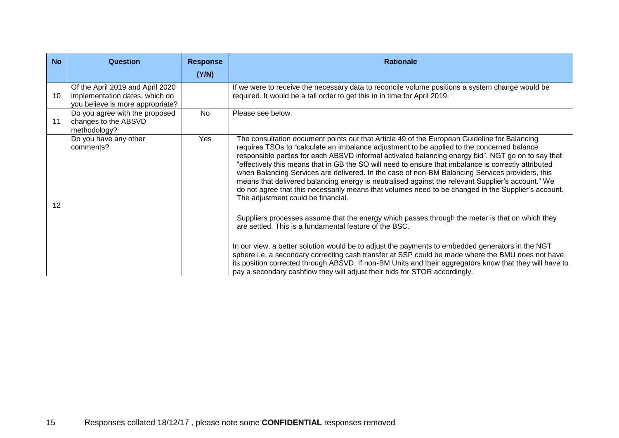| <b>No</b>         | <b>Question</b>                                                                                        | <b>Response</b> | <b>Rationale</b>                                                                                                                                                                                                                                                                                                                                                                                                                                                                                                                                                                                                                                                                                                                                                                                                                                                                                                                                                                                                                                                                                                                                                                                                                                                                                                             |
|-------------------|--------------------------------------------------------------------------------------------------------|-----------------|------------------------------------------------------------------------------------------------------------------------------------------------------------------------------------------------------------------------------------------------------------------------------------------------------------------------------------------------------------------------------------------------------------------------------------------------------------------------------------------------------------------------------------------------------------------------------------------------------------------------------------------------------------------------------------------------------------------------------------------------------------------------------------------------------------------------------------------------------------------------------------------------------------------------------------------------------------------------------------------------------------------------------------------------------------------------------------------------------------------------------------------------------------------------------------------------------------------------------------------------------------------------------------------------------------------------------|
|                   |                                                                                                        | (Y/N)           |                                                                                                                                                                                                                                                                                                                                                                                                                                                                                                                                                                                                                                                                                                                                                                                                                                                                                                                                                                                                                                                                                                                                                                                                                                                                                                                              |
| 10                | Of the April 2019 and April 2020<br>implementation dates, which do<br>you believe is more appropriate? |                 | If we were to receive the necessary data to reconcile volume positions a system change would be<br>required. It would be a tall order to get this in in time for April 2019.                                                                                                                                                                                                                                                                                                                                                                                                                                                                                                                                                                                                                                                                                                                                                                                                                                                                                                                                                                                                                                                                                                                                                 |
| 11                | Do you agree with the proposed<br>changes to the ABSVD<br>methodology?                                 | No.             | Please see below.                                                                                                                                                                                                                                                                                                                                                                                                                                                                                                                                                                                                                                                                                                                                                                                                                                                                                                                                                                                                                                                                                                                                                                                                                                                                                                            |
| $12 \overline{ }$ | Do you have any other<br>comments?                                                                     | Yes             | The consultation document points out that Article 49 of the European Guideline for Balancing<br>requires TSOs to "calculate an imbalance adjustment to be applied to the concerned balance<br>responsible parties for each ABSVD informal activated balancing energy bid". NGT go on to say that<br>"effectively this means that in GB the SO will need to ensure that imbalance is correctly attributed<br>when Balancing Services are delivered. In the case of non-BM Balancing Services providers, this<br>means that delivered balancing energy is neutralised against the relevant Supplier's account." We<br>do not agree that this necessarily means that volumes need to be changed in the Supplier's account.<br>The adjustment could be financial.<br>Suppliers processes assume that the energy which passes through the meter is that on which they<br>are settled. This is a fundamental feature of the BSC.<br>In our view, a better solution would be to adjust the payments to embedded generators in the NGT<br>sphere i.e. a secondary correcting cash transfer at SSP could be made where the BMU does not have<br>its position corrected through ABSVD. If non-BM Units and their aggregators know that they will have to<br>pay a secondary cashflow they will adjust their bids for STOR accordingly. |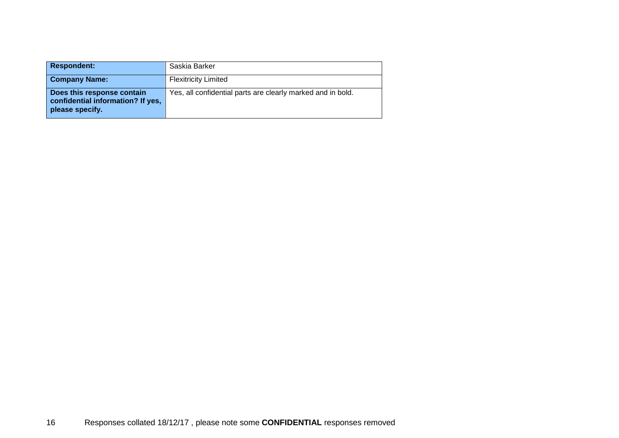| <b>Respondent:</b>                                                                 | Saskia Barker                                               |
|------------------------------------------------------------------------------------|-------------------------------------------------------------|
| <b>Company Name:</b>                                                               | <b>Flexitricity Limited</b>                                 |
| Does this response contain<br>confidential information? If yes,<br>please specify. | Yes, all confidential parts are clearly marked and in bold. |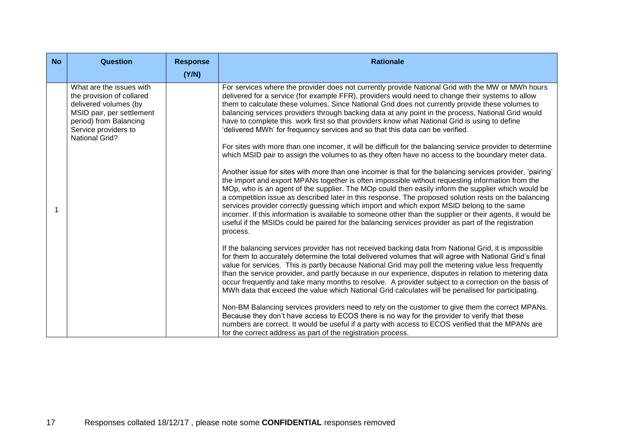| <b>No</b> | <b>Question</b>                                                                                                                                                                        | <b>Response</b><br>(Y/N) | <b>Rationale</b>                                                                                                                                                                                                                                                                                                                                                                                                                                                                                                                                                                                                                                                                                                                                                                                                                                                                                                                                                                                                                                                                                                                                                                                                                                                                                                                                                                                                                                                                                                                                                                                                                                                                                                                                                                                                                                                                                                                                                                                                                                                                                                                                                                                                                                                                                                                                                                                                                                                                                                                                                                                                 |
|-----------|----------------------------------------------------------------------------------------------------------------------------------------------------------------------------------------|--------------------------|------------------------------------------------------------------------------------------------------------------------------------------------------------------------------------------------------------------------------------------------------------------------------------------------------------------------------------------------------------------------------------------------------------------------------------------------------------------------------------------------------------------------------------------------------------------------------------------------------------------------------------------------------------------------------------------------------------------------------------------------------------------------------------------------------------------------------------------------------------------------------------------------------------------------------------------------------------------------------------------------------------------------------------------------------------------------------------------------------------------------------------------------------------------------------------------------------------------------------------------------------------------------------------------------------------------------------------------------------------------------------------------------------------------------------------------------------------------------------------------------------------------------------------------------------------------------------------------------------------------------------------------------------------------------------------------------------------------------------------------------------------------------------------------------------------------------------------------------------------------------------------------------------------------------------------------------------------------------------------------------------------------------------------------------------------------------------------------------------------------------------------------------------------------------------------------------------------------------------------------------------------------------------------------------------------------------------------------------------------------------------------------------------------------------------------------------------------------------------------------------------------------------------------------------------------------------------------------------------------------|
|           | What are the issues with<br>the provision of collared<br>delivered volumes (by<br>MSID pair, per settlement<br>period) from Balancing<br>Service providers to<br><b>National Grid?</b> |                          | For services where the provider does not currently provide National Grid with the MW or MWh hours<br>delivered for a service (for example FFR), providers would need to change their systems to allow<br>them to calculate these volumes. Since National Grid does not currently provide these volumes to<br>balancing services providers through backing data at any point in the process, National Grid would<br>have to complete this work first so that providers know what National Grid is using to define<br>'delivered MWh' for frequency services and so that this data can be verified.<br>For sites with more than one incomer, it will be difficult for the balancing service provider to determine<br>which MSID pair to assign the volumes to as they often have no access to the boundary meter data.<br>Another issue for sites with more than one incomer is that for the balancing services provider, 'pairing'<br>the import and export MPANs together is often impossible without requesting information from the<br>MOp, who is an agent of the supplier. The MOp could then easily inform the supplier which would be<br>a competition issue as described later in this response. The proposed solution rests on the balancing<br>services provider correctly guessing which import and which export MSID belong to the same<br>incomer. If this information is available to someone other than the supplier or their agents, it would be<br>useful if the MSIDs could be paired for the balancing services provider as part of the registration<br>process.<br>If the balancing services provider has not received backing data from National Grid, it is impossible<br>for them to accurately determine the total delivered volumes that will agree with National Grid's final<br>value for services. This is partly because National Grid may poll the metering value less frequently<br>than the service provider, and partly because in our experience, disputes in relation to metering data<br>occur frequently and take many months to resolve. A provider subject to a correction on the basis of<br>MWh data that exceed the value which National Grid calculates will be penalised for participating.<br>Non-BM Balancing services providers need to rely on the customer to give them the correct MPANs.<br>Because they don't have access to ECOS there is no way for the provider to verify that these<br>numbers are correct. It would be useful if a party with access to ECOS verified that the MPANs are<br>for the correct address as part of the registration process. |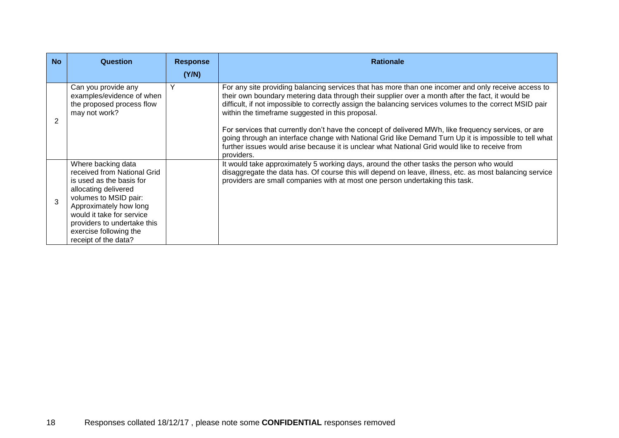| <b>No</b> | <b>Question</b>                                                         | <b>Response</b><br>(Y/N) | <b>Rationale</b>                                                                                                                                                                                                                                                                                                               |
|-----------|-------------------------------------------------------------------------|--------------------------|--------------------------------------------------------------------------------------------------------------------------------------------------------------------------------------------------------------------------------------------------------------------------------------------------------------------------------|
|           | Can you provide any                                                     | Y                        | For any site providing balancing services that has more than one incomer and only receive access to                                                                                                                                                                                                                            |
| 2         | examples/evidence of when<br>the proposed process flow<br>may not work? |                          | their own boundary metering data through their supplier over a month after the fact, it would be<br>difficult, if not impossible to correctly assign the balancing services volumes to the correct MSID pair<br>within the timeframe suggested in this proposal.                                                               |
|           |                                                                         |                          | For services that currently don't have the concept of delivered MWh, like frequency services, or are<br>going through an interface change with National Grid like Demand Turn Up it is impossible to tell what<br>further issues would arise because it is unclear what National Grid would like to receive from<br>providers. |
|           | Where backing data<br>received from National Grid                       |                          | It would take approximately 5 working days, around the other tasks the person who would<br>disaggregate the data has. Of course this will depend on leave, illness, etc. as most balancing service                                                                                                                             |
|           | is used as the basis for                                                |                          | providers are small companies with at most one person undertaking this task.                                                                                                                                                                                                                                                   |
|           | allocating delivered<br>volumes to MSID pair:                           |                          |                                                                                                                                                                                                                                                                                                                                |
| 3         | Approximately how long                                                  |                          |                                                                                                                                                                                                                                                                                                                                |
|           | would it take for service<br>providers to undertake this                |                          |                                                                                                                                                                                                                                                                                                                                |
|           | exercise following the                                                  |                          |                                                                                                                                                                                                                                                                                                                                |
|           | receipt of the data?                                                    |                          |                                                                                                                                                                                                                                                                                                                                |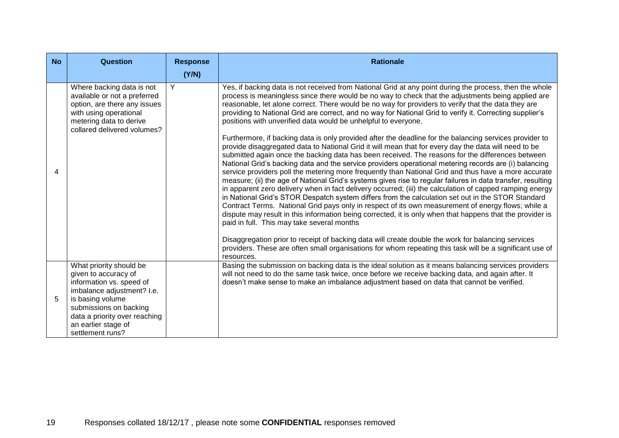| <b>No</b> | <b>Question</b>                                                                                                                                  | <b>Response</b> | <b>Rationale</b>                                                                                                                                                                                                                                                                                                                                                                                                                                                                                                                                                                                                                                                                                                                                                                                                                                                                                                                                                                                                                                                                                                                      |
|-----------|--------------------------------------------------------------------------------------------------------------------------------------------------|-----------------|---------------------------------------------------------------------------------------------------------------------------------------------------------------------------------------------------------------------------------------------------------------------------------------------------------------------------------------------------------------------------------------------------------------------------------------------------------------------------------------------------------------------------------------------------------------------------------------------------------------------------------------------------------------------------------------------------------------------------------------------------------------------------------------------------------------------------------------------------------------------------------------------------------------------------------------------------------------------------------------------------------------------------------------------------------------------------------------------------------------------------------------|
|           | Where backing data is not                                                                                                                        | (Y/N)<br>Y      | Yes, if backing data is not received from National Grid at any point during the process, then the whole                                                                                                                                                                                                                                                                                                                                                                                                                                                                                                                                                                                                                                                                                                                                                                                                                                                                                                                                                                                                                               |
|           | available or not a preferred<br>option, are there any issues<br>with using operational<br>metering data to derive<br>collared delivered volumes? |                 | process is meaningless since there would be no way to check that the adjustments being applied are<br>reasonable, let alone correct. There would be no way for providers to verify that the data they are<br>providing to National Grid are correct, and no way for National Grid to verify it. Correcting supplier's<br>positions with unverified data would be unhelpful to everyone.                                                                                                                                                                                                                                                                                                                                                                                                                                                                                                                                                                                                                                                                                                                                               |
| 4         |                                                                                                                                                  |                 | Furthermore, if backing data is only provided after the deadline for the balancing services provider to<br>provide disaggregated data to National Grid it will mean that for every day the data will need to be<br>submitted again once the backing data has been received. The reasons for the differences between<br>National Grid's backing data and the service providers operational metering records are (i) balancing<br>service providers poll the metering more frequently than National Grid and thus have a more accurate<br>measure; (ii) the age of National Grid's systems gives rise to regular failures in data transfer, resulting<br>in apparent zero delivery when in fact delivery occurred; (iii) the calculation of capped ramping energy<br>in National Grid's STOR Despatch system differs from the calculation set out in the STOR Standard<br>Contract Terms. National Grid pays only in respect of its own measurement of energy flows; while a<br>dispute may result in this information being corrected, it is only when that happens that the provider is<br>paid in full. This may take several months |
|           |                                                                                                                                                  |                 | Disaggregation prior to receipt of backing data will create double the work for balancing services<br>providers. These are often small organisations for whom repeating this task will be a significant use of<br>resources.                                                                                                                                                                                                                                                                                                                                                                                                                                                                                                                                                                                                                                                                                                                                                                                                                                                                                                          |
|           | What priority should be<br>given to accuracy of<br>information vs. speed of<br>imbalance adjustment? I.e.                                        |                 | Basing the submission on backing data is the ideal solution as it means balancing services providers<br>will not need to do the same task twice, once before we receive backing data, and again after. It<br>doesn't make sense to make an imbalance adjustment based on data that cannot be verified.                                                                                                                                                                                                                                                                                                                                                                                                                                                                                                                                                                                                                                                                                                                                                                                                                                |
| 5         | is basing volume<br>submissions on backing<br>data a priority over reaching<br>an earlier stage of<br>settlement runs?                           |                 |                                                                                                                                                                                                                                                                                                                                                                                                                                                                                                                                                                                                                                                                                                                                                                                                                                                                                                                                                                                                                                                                                                                                       |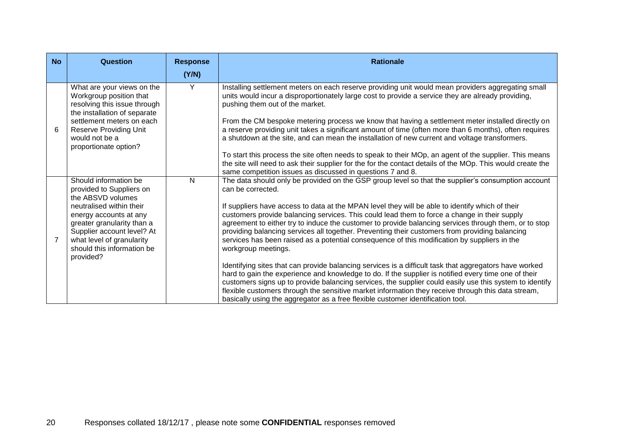| <b>No</b>      | <b>Question</b>                                                                                                                                                                                                                                                  | <b>Response</b><br>(Y/N) | <b>Rationale</b>                                                                                                                                                                                                                                                                                                                                                                                                                                                                                                                                                                                                                                                                                                                                                                                                                                                                                                                                                                                                                                                                                                                                                                   |
|----------------|------------------------------------------------------------------------------------------------------------------------------------------------------------------------------------------------------------------------------------------------------------------|--------------------------|------------------------------------------------------------------------------------------------------------------------------------------------------------------------------------------------------------------------------------------------------------------------------------------------------------------------------------------------------------------------------------------------------------------------------------------------------------------------------------------------------------------------------------------------------------------------------------------------------------------------------------------------------------------------------------------------------------------------------------------------------------------------------------------------------------------------------------------------------------------------------------------------------------------------------------------------------------------------------------------------------------------------------------------------------------------------------------------------------------------------------------------------------------------------------------|
| 6              | What are your views on the<br>Workgroup position that<br>resolving this issue through<br>the installation of separate<br>settlement meters on each<br><b>Reserve Providing Unit</b><br>would not be a<br>proportionate option?                                   | Y                        | Installing settlement meters on each reserve providing unit would mean providers aggregating small<br>units would incur a disproportionately large cost to provide a service they are already providing,<br>pushing them out of the market.<br>From the CM bespoke metering process we know that having a settlement meter installed directly on<br>a reserve providing unit takes a significant amount of time (often more than 6 months), often requires<br>a shutdown at the site, and can mean the installation of new current and voltage transformers.<br>To start this process the site often needs to speak to their MOp, an agent of the supplier. This means<br>the site will need to ask their supplier for the for the contact details of the MOp. This would create the<br>same competition issues as discussed in questions 7 and 8.                                                                                                                                                                                                                                                                                                                                 |
| $\overline{7}$ | Should information be<br>provided to Suppliers on<br>the ABSVD volumes<br>neutralised within their<br>energy accounts at any<br>greater granularity than a<br>Supplier account level? At<br>what level of granularity<br>should this information be<br>provided? | $\mathsf{N}$             | The data should only be provided on the GSP group level so that the supplier's consumption account<br>can be corrected.<br>If suppliers have access to data at the MPAN level they will be able to identify which of their<br>customers provide balancing services. This could lead them to force a change in their supply<br>agreement to either try to induce the customer to provide balancing services through them, or to stop<br>providing balancing services all together. Preventing their customers from providing balancing<br>services has been raised as a potential consequence of this modification by suppliers in the<br>workgroup meetings.<br>Identifying sites that can provide balancing services is a difficult task that aggregators have worked<br>hard to gain the experience and knowledge to do. If the supplier is notified every time one of their<br>customers signs up to provide balancing services, the supplier could easily use this system to identify<br>flexible customers through the sensitive market information they receive through this data stream,<br>basically using the aggregator as a free flexible customer identification tool. |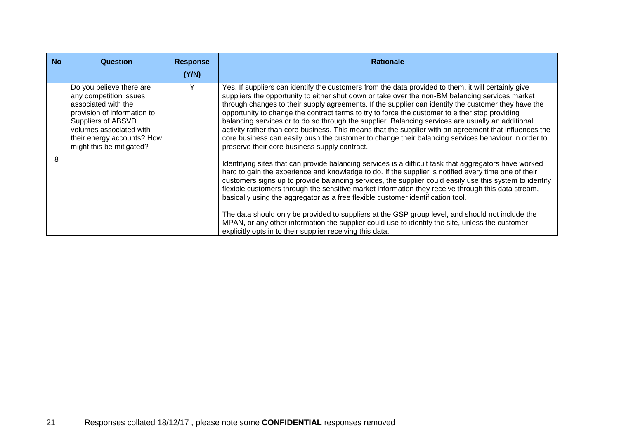| <b>No</b> | <b>Question</b>                                                                                                                                                                                                     | <b>Response</b><br>(Y/N) | <b>Rationale</b>                                                                                                                                                                                                                                                                                                                                                                                                                                                                                                                                                                                                                                                                                                                                                                       |
|-----------|---------------------------------------------------------------------------------------------------------------------------------------------------------------------------------------------------------------------|--------------------------|----------------------------------------------------------------------------------------------------------------------------------------------------------------------------------------------------------------------------------------------------------------------------------------------------------------------------------------------------------------------------------------------------------------------------------------------------------------------------------------------------------------------------------------------------------------------------------------------------------------------------------------------------------------------------------------------------------------------------------------------------------------------------------------|
|           | Do you believe there are<br>any competition issues<br>associated with the<br>provision of information to<br>Suppliers of ABSVD<br>volumes associated with<br>their energy accounts? How<br>might this be mitigated? | Y                        | Yes. If suppliers can identify the customers from the data provided to them, it will certainly give<br>suppliers the opportunity to either shut down or take over the non-BM balancing services market<br>through changes to their supply agreements. If the supplier can identify the customer they have the<br>opportunity to change the contract terms to try to force the customer to either stop providing<br>balancing services or to do so through the supplier. Balancing services are usually an additional<br>activity rather than core business. This means that the supplier with an agreement that influences the<br>core business can easily push the customer to change their balancing services behaviour in order to<br>preserve their core business supply contract. |
| 8         |                                                                                                                                                                                                                     |                          | Identifying sites that can provide balancing services is a difficult task that aggregators have worked<br>hard to gain the experience and knowledge to do. If the supplier is notified every time one of their<br>customers signs up to provide balancing services, the supplier could easily use this system to identify<br>flexible customers through the sensitive market information they receive through this data stream,<br>basically using the aggregator as a free flexible customer identification tool.<br>The data should only be provided to suppliers at the GSP group level, and should not include the<br>MPAN, or any other information the supplier could use to identify the site, unless the customer<br>explicitly opts in to their supplier receiving this data. |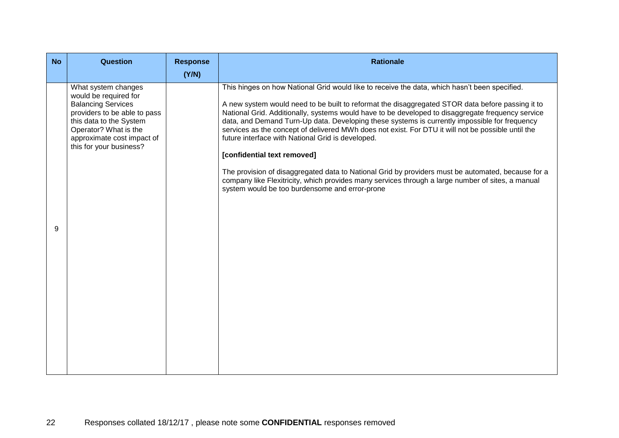| <b>No</b> | <b>Question</b>                                                                                                                                                                                                        | <b>Response</b><br>(Y/N) | <b>Rationale</b>                                                                                                                                                                                                                                                                                                                                                                                                                                                                                                                                                                                                                                                                                                                                                                                                                                               |
|-----------|------------------------------------------------------------------------------------------------------------------------------------------------------------------------------------------------------------------------|--------------------------|----------------------------------------------------------------------------------------------------------------------------------------------------------------------------------------------------------------------------------------------------------------------------------------------------------------------------------------------------------------------------------------------------------------------------------------------------------------------------------------------------------------------------------------------------------------------------------------------------------------------------------------------------------------------------------------------------------------------------------------------------------------------------------------------------------------------------------------------------------------|
| 9         | What system changes<br>would be required for<br><b>Balancing Services</b><br>providers to be able to pass<br>this data to the System<br>Operator? What is the<br>approximate cost impact of<br>this for your business? |                          | This hinges on how National Grid would like to receive the data, which hasn't been specified.<br>A new system would need to be built to reformat the disaggregated STOR data before passing it to<br>National Grid. Additionally, systems would have to be developed to disaggregate frequency service<br>data, and Demand Turn-Up data. Developing these systems is currently impossible for frequency<br>services as the concept of delivered MWh does not exist. For DTU it will not be possible until the<br>future interface with National Grid is developed.<br>[confidential text removed]<br>The provision of disaggregated data to National Grid by providers must be automated, because for a<br>company like Flexitricity, which provides many services through a large number of sites, a manual<br>system would be too burdensome and error-prone |
|           |                                                                                                                                                                                                                        |                          |                                                                                                                                                                                                                                                                                                                                                                                                                                                                                                                                                                                                                                                                                                                                                                                                                                                                |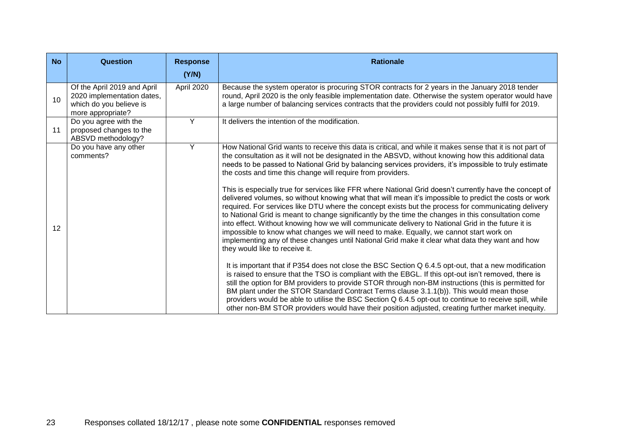| <b>No</b> | Question                                                                                                  | <b>Response</b> | <b>Rationale</b>                                                                                                                                                                                                                                                                                                                                                                                                                                                                                                                                                                                                                                                                                                                                                                                                                                                                                                                                                                                                                                                                                                                                                                                                                                                                                                                                                                                                                                                                                                                                                                                                                                                                                                                                                                                     |
|-----------|-----------------------------------------------------------------------------------------------------------|-----------------|------------------------------------------------------------------------------------------------------------------------------------------------------------------------------------------------------------------------------------------------------------------------------------------------------------------------------------------------------------------------------------------------------------------------------------------------------------------------------------------------------------------------------------------------------------------------------------------------------------------------------------------------------------------------------------------------------------------------------------------------------------------------------------------------------------------------------------------------------------------------------------------------------------------------------------------------------------------------------------------------------------------------------------------------------------------------------------------------------------------------------------------------------------------------------------------------------------------------------------------------------------------------------------------------------------------------------------------------------------------------------------------------------------------------------------------------------------------------------------------------------------------------------------------------------------------------------------------------------------------------------------------------------------------------------------------------------------------------------------------------------------------------------------------------------|
|           |                                                                                                           | (Y/N)           |                                                                                                                                                                                                                                                                                                                                                                                                                                                                                                                                                                                                                                                                                                                                                                                                                                                                                                                                                                                                                                                                                                                                                                                                                                                                                                                                                                                                                                                                                                                                                                                                                                                                                                                                                                                                      |
| 10        | Of the April 2019 and April<br>2020 implementation dates,<br>which do you believe is<br>more appropriate? | April 2020      | Because the system operator is procuring STOR contracts for 2 years in the January 2018 tender<br>round, April 2020 is the only feasible implementation date. Otherwise the system operator would have<br>a large number of balancing services contracts that the providers could not possibly fulfil for 2019.                                                                                                                                                                                                                                                                                                                                                                                                                                                                                                                                                                                                                                                                                                                                                                                                                                                                                                                                                                                                                                                                                                                                                                                                                                                                                                                                                                                                                                                                                      |
| 11        | Do you agree with the<br>proposed changes to the<br>ABSVD methodology?                                    | Y               | It delivers the intention of the modification.                                                                                                                                                                                                                                                                                                                                                                                                                                                                                                                                                                                                                                                                                                                                                                                                                                                                                                                                                                                                                                                                                                                                                                                                                                                                                                                                                                                                                                                                                                                                                                                                                                                                                                                                                       |
| 12        | Do you have any other<br>comments?                                                                        | Y               | How National Grid wants to receive this data is critical, and while it makes sense that it is not part of<br>the consultation as it will not be designated in the ABSVD, without knowing how this additional data<br>needs to be passed to National Grid by balancing services providers, it's impossible to truly estimate<br>the costs and time this change will require from providers.<br>This is especially true for services like FFR where National Grid doesn't currently have the concept of<br>delivered volumes, so without knowing what that will mean it's impossible to predict the costs or work<br>required. For services like DTU where the concept exists but the process for communicating delivery<br>to National Grid is meant to change significantly by the time the changes in this consultation come<br>into effect. Without knowing how we will communicate delivery to National Grid in the future it is<br>impossible to know what changes we will need to make. Equally, we cannot start work on<br>implementing any of these changes until National Grid make it clear what data they want and how<br>they would like to receive it.<br>It is important that if P354 does not close the BSC Section Q 6.4.5 opt-out, that a new modification<br>is raised to ensure that the TSO is compliant with the EBGL. If this opt-out isn't removed, there is<br>still the option for BM providers to provide STOR through non-BM instructions (this is permitted for<br>BM plant under the STOR Standard Contract Terms clause 3.1.1(b)). This would mean those<br>providers would be able to utilise the BSC Section Q 6.4.5 opt-out to continue to receive spill, while<br>other non-BM STOR providers would have their position adjusted, creating further market inequity. |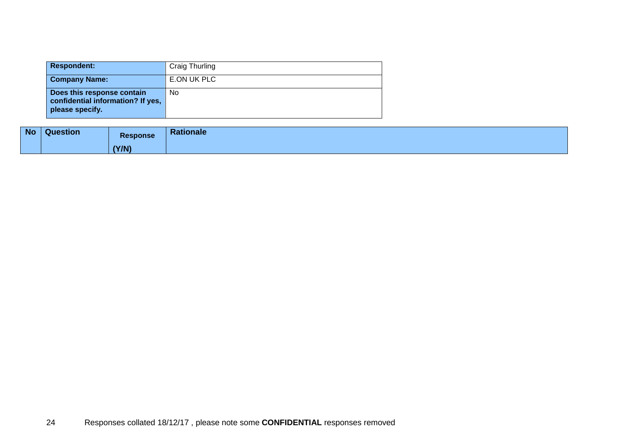| <b>Respondent:</b>                                                                 | Craig Thurling |
|------------------------------------------------------------------------------------|----------------|
| <b>Company Name:</b>                                                               | E.ON UK PLC    |
| Does this response contain<br>confidential information? If yes,<br>please specify. | No             |

| <b>No</b> | <b>Question</b> | <b>Response</b> | <b>Rationale</b> |
|-----------|-----------------|-----------------|------------------|
|           |                 | (Y/N)           |                  |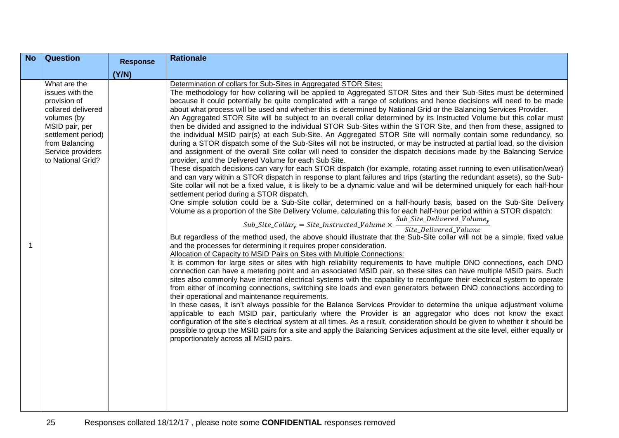| <b>No</b> | <b>Question</b>                                                                                                                                                                          | <b>Response</b> | <b>Rationale</b>                                                                                                                                                                                                                                                                                                                                                                                                                                                                                                                                                                                                                                                                                                                                                                                                                                                                                                                                                                                                                                                                                                                                                                                                                                                                                                                                                                                                                                                                                                                                                                                                                                                                                                                                                                                                                                                                                                                                                                                                                                                                                                                                                                                                                                                                                                                                                                                                                                                                                                                                                                                                                                                                                                                                                                                                                                                                                                                                                                                                                                                                                                                                                                                                                                                                                           |
|-----------|------------------------------------------------------------------------------------------------------------------------------------------------------------------------------------------|-----------------|------------------------------------------------------------------------------------------------------------------------------------------------------------------------------------------------------------------------------------------------------------------------------------------------------------------------------------------------------------------------------------------------------------------------------------------------------------------------------------------------------------------------------------------------------------------------------------------------------------------------------------------------------------------------------------------------------------------------------------------------------------------------------------------------------------------------------------------------------------------------------------------------------------------------------------------------------------------------------------------------------------------------------------------------------------------------------------------------------------------------------------------------------------------------------------------------------------------------------------------------------------------------------------------------------------------------------------------------------------------------------------------------------------------------------------------------------------------------------------------------------------------------------------------------------------------------------------------------------------------------------------------------------------------------------------------------------------------------------------------------------------------------------------------------------------------------------------------------------------------------------------------------------------------------------------------------------------------------------------------------------------------------------------------------------------------------------------------------------------------------------------------------------------------------------------------------------------------------------------------------------------------------------------------------------------------------------------------------------------------------------------------------------------------------------------------------------------------------------------------------------------------------------------------------------------------------------------------------------------------------------------------------------------------------------------------------------------------------------------------------------------------------------------------------------------------------------------------------------------------------------------------------------------------------------------------------------------------------------------------------------------------------------------------------------------------------------------------------------------------------------------------------------------------------------------------------------------------------------------------------------------------------------------------------------------|
|           |                                                                                                                                                                                          | (Y/N)           |                                                                                                                                                                                                                                                                                                                                                                                                                                                                                                                                                                                                                                                                                                                                                                                                                                                                                                                                                                                                                                                                                                                                                                                                                                                                                                                                                                                                                                                                                                                                                                                                                                                                                                                                                                                                                                                                                                                                                                                                                                                                                                                                                                                                                                                                                                                                                                                                                                                                                                                                                                                                                                                                                                                                                                                                                                                                                                                                                                                                                                                                                                                                                                                                                                                                                                            |
| 1         | What are the<br>issues with the<br>provision of<br>collared delivered<br>volumes (by<br>MSID pair, per<br>settlement period)<br>from Balancing<br>Service providers<br>to National Grid? |                 | Determination of collars for Sub-Sites in Aggregated STOR Sites:<br>The methodology for how collaring will be applied to Aggregated STOR Sites and their Sub-Sites must be determined<br>because it could potentially be quite complicated with a range of solutions and hence decisions will need to be made<br>about what process will be used and whether this is determined by National Grid or the Balancing Services Provider.<br>An Aggregated STOR Site will be subject to an overall collar determined by its Instructed Volume but this collar must<br>then be divided and assigned to the individual STOR Sub-Sites within the STOR Site, and then from these, assigned to<br>the individual MSID pair(s) at each Sub-Site. An Aggregated STOR Site will normally contain some redundancy, so<br>during a STOR dispatch some of the Sub-Sites will not be instructed, or may be instructed at partial load, so the division<br>and assignment of the overall Site collar will need to consider the dispatch decisions made by the Balancing Service<br>provider, and the Delivered Volume for each Sub Site.<br>These dispatch decisions can vary for each STOR dispatch (for example, rotating asset running to even utilisation/wear)<br>and can vary within a STOR dispatch in response to plant failures and trips (starting the redundant assets), so the Sub-<br>Site collar will not be a fixed value, it is likely to be a dynamic value and will be determined uniquely for each half-hour<br>settlement period during a STOR dispatch.<br>One simple solution could be a Sub-Site collar, determined on a half-hourly basis, based on the Sub-Site Delivery<br>Volume as a proportion of the Site Delivery Volume, calculating this for each half-hour period within a STOR dispatch:<br>Sub_Site_Collar <sub>y</sub> = Site_Instructed_Volume $\times$ Sub_Site_Delivered_Volume <sub>y</sub><br>But regardless of the method used, the above should illustrate that the Sub-Site collar will not be a simple, fixed value<br>and the processes for determining it requires proper consideration.<br>Allocation of Capacity to MSID Pairs on Sites with Multiple Connections:<br>It is common for large sites or sites with high reliability requirements to have multiple DNO connections, each DNO<br>connection can have a metering point and an associated MSID pair, so these sites can have multiple MSID pairs. Such<br>sites also commonly have internal electrical systems with the capability to reconfigure their electrical system to operate<br>from either of incoming connections, switching site loads and even generators between DNO connections according to<br>their operational and maintenance requirements.<br>In these cases, it isn't always possible for the Balance Services Provider to determine the unique adjustment volume<br>applicable to each MSID pair, particularly where the Provider is an aggregator who does not know the exact<br>configuration of the site's electrical system at all times. As a result, consideration should be given to whether it should be<br>possible to group the MSID pairs for a site and apply the Balancing Services adjustment at the site level, either equally or<br>proportionately across all MSID pairs. |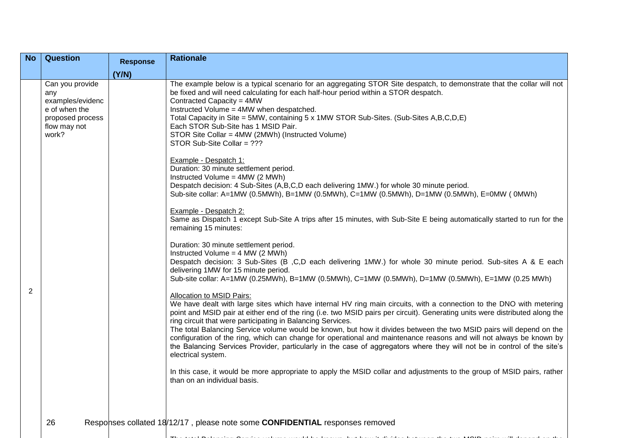| <b>No</b> | <b>Question</b>                                                                                          | <b>Response</b> | <b>Rationale</b>                                                                                                                                                                                                                                                                                                                                                                                                                                                                                                                                                                                                                                                                                                                                                                                                                                                                                                                                                                                                                                                                                                                                                                                                                                                                      |
|-----------|----------------------------------------------------------------------------------------------------------|-----------------|---------------------------------------------------------------------------------------------------------------------------------------------------------------------------------------------------------------------------------------------------------------------------------------------------------------------------------------------------------------------------------------------------------------------------------------------------------------------------------------------------------------------------------------------------------------------------------------------------------------------------------------------------------------------------------------------------------------------------------------------------------------------------------------------------------------------------------------------------------------------------------------------------------------------------------------------------------------------------------------------------------------------------------------------------------------------------------------------------------------------------------------------------------------------------------------------------------------------------------------------------------------------------------------|
|           |                                                                                                          |                 |                                                                                                                                                                                                                                                                                                                                                                                                                                                                                                                                                                                                                                                                                                                                                                                                                                                                                                                                                                                                                                                                                                                                                                                                                                                                                       |
|           | Can you provide<br>any<br>examples/evidenc<br>e of when the<br>proposed process<br>flow may not<br>work? | (Y/N)           | The example below is a typical scenario for an aggregating STOR Site despatch, to demonstrate that the collar will not<br>be fixed and will need calculating for each half-hour period within a STOR despatch.<br>Contracted Capacity = 4MW<br>Instructed Volume = 4MW when despatched.<br>Total Capacity in Site = 5MW, containing 5 x 1MW STOR Sub-Sites. (Sub-Sites A,B,C,D,E)<br>Each STOR Sub-Site has 1 MSID Pair.<br>STOR Site Collar = 4MW (2MWh) (Instructed Volume)<br>STOR Sub-Site Collar = ???<br>Example - Despatch 1:<br>Duration: 30 minute settlement period.<br>Instructed Volume = 4MW (2 MWh)<br>Despatch decision: 4 Sub-Sites (A,B,C,D each delivering 1MW.) for whole 30 minute period.<br>Sub-site collar: A=1MW (0.5MWh), B=1MW (0.5MWh), C=1MW (0.5MWh), D=1MW (0.5MWh), E=0MW (0MWh)<br>Example - Despatch 2:<br>Same as Dispatch 1 except Sub-Site A trips after 15 minutes, with Sub-Site E being automatically started to run for the                                                                                                                                                                                                                                                                                                                   |
| 2         |                                                                                                          |                 | remaining 15 minutes:<br>Duration: 30 minute settlement period.<br>Instructed Volume = $4$ MW ( $2$ MWh)<br>Despatch decision: 3 Sub-Sites (B, C,D each delivering 1MW.) for whole 30 minute period. Sub-sites A & E each<br>delivering 1MW for 15 minute period.<br>Sub-site collar: A=1MW (0.25MWh), B=1MW (0.5MWh), C=1MW (0.5MWh), D=1MW (0.5MWh), E=1MW (0.25 MWh)<br>Allocation to MSID Pairs:<br>We have dealt with large sites which have internal HV ring main circuits, with a connection to the DNO with metering<br>point and MSID pair at either end of the ring (i.e. two MSID pairs per circuit). Generating units were distributed along the<br>ring circuit that were participating in Balancing Services.<br>The total Balancing Service volume would be known, but how it divides between the two MSID pairs will depend on the<br>configuration of the ring, which can change for operational and maintenance reasons and will not always be known by<br>the Balancing Services Provider, particularly in the case of aggregators where they will not be in control of the site's<br>electrical system.<br>In this case, it would be more appropriate to apply the MSID collar and adjustments to the group of MSID pairs, rather<br>than on an individual basis. |
|           | 26                                                                                                       |                 | Responses collated 18/12/17, please note some <b>CONFIDENTIAL</b> responses removed                                                                                                                                                                                                                                                                                                                                                                                                                                                                                                                                                                                                                                                                                                                                                                                                                                                                                                                                                                                                                                                                                                                                                                                                   |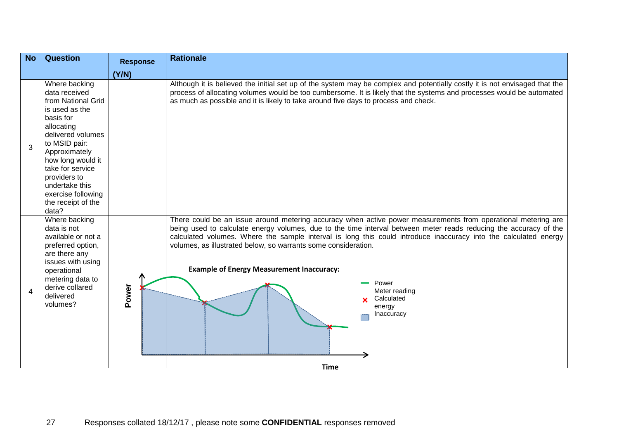| <b>No</b>             | <b>Question</b>                                                                                                                                                                                                                                                                          | <b>Response</b> | <b>Rationale</b>                                                                                                                                                                                                                                                                                                                                                                                                                                                                                                                                            |
|-----------------------|------------------------------------------------------------------------------------------------------------------------------------------------------------------------------------------------------------------------------------------------------------------------------------------|-----------------|-------------------------------------------------------------------------------------------------------------------------------------------------------------------------------------------------------------------------------------------------------------------------------------------------------------------------------------------------------------------------------------------------------------------------------------------------------------------------------------------------------------------------------------------------------------|
|                       |                                                                                                                                                                                                                                                                                          | (Y/N)           |                                                                                                                                                                                                                                                                                                                                                                                                                                                                                                                                                             |
| 3                     | Where backing<br>data received<br>from National Grid<br>is used as the<br>basis for<br>allocating<br>delivered volumes<br>to MSID pair:<br>Approximately<br>how long would it<br>take for service<br>providers to<br>undertake this<br>exercise following<br>the receipt of the<br>data? |                 | Although it is believed the initial set up of the system may be complex and potentially costly it is not envisaged that the<br>process of allocating volumes would be too cumbersome. It is likely that the systems and processes would be automated<br>as much as possible and it is likely to take around five days to process and check.                                                                                                                                                                                                                 |
| $\boldsymbol{\Delta}$ | Where backing<br>data is not<br>available or not a<br>preferred option,<br>are there any<br>issues with using<br>operational<br>metering data to<br>derive collared<br>delivered<br>volumes?                                                                                             | Power           | There could be an issue around metering accuracy when active power measurements from operational metering are<br>being used to calculate energy volumes, due to the time interval between meter reads reducing the accuracy of the<br>calculated volumes. Where the sample interval is long this could introduce inaccuracy into the calculated energy<br>volumes, as illustrated below, so warrants some consideration.<br><b>Example of Energy Measurement Inaccuracy:</b><br>Power<br>Meter reading<br>Calculated<br>energy<br>Inaccuracy<br><b>Time</b> |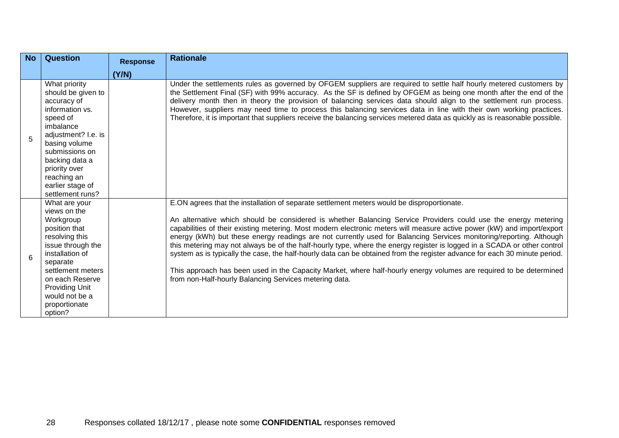| <b>No</b> | <b>Question</b>                                                                                                                                                                                                                                    | <b>Response</b> | <b>Rationale</b>                                                                                                                                                                                                                                                                                                                                                                                                                                                                                                                                                                                                                                                                                                                                                                                                                                                                                         |
|-----------|----------------------------------------------------------------------------------------------------------------------------------------------------------------------------------------------------------------------------------------------------|-----------------|----------------------------------------------------------------------------------------------------------------------------------------------------------------------------------------------------------------------------------------------------------------------------------------------------------------------------------------------------------------------------------------------------------------------------------------------------------------------------------------------------------------------------------------------------------------------------------------------------------------------------------------------------------------------------------------------------------------------------------------------------------------------------------------------------------------------------------------------------------------------------------------------------------|
|           |                                                                                                                                                                                                                                                    | (Y/N)           |                                                                                                                                                                                                                                                                                                                                                                                                                                                                                                                                                                                                                                                                                                                                                                                                                                                                                                          |
| 5         | What priority<br>should be given to<br>accuracy of<br>information vs.<br>speed of<br>imbalance<br>adjustment? I.e. is<br>basing volume<br>submissions on<br>backing data a<br>priority over<br>reaching an<br>earlier stage of<br>settlement runs? |                 | Under the settlements rules as governed by OFGEM suppliers are required to settle half hourly metered customers by<br>the Settlement Final (SF) with 99% accuracy. As the SF is defined by OFGEM as being one month after the end of the<br>delivery month then in theory the provision of balancing services data should align to the settlement run process.<br>However, suppliers may need time to process this balancing services data in line with their own working practices.<br>Therefore, it is important that suppliers receive the balancing services metered data as quickly as is reasonable possible.                                                                                                                                                                                                                                                                                      |
| 6         | What are your<br>views on the<br>Workgroup<br>position that<br>resolving this<br>issue through the<br>installation of<br>separate<br>settlement meters<br>on each Reserve<br><b>Providing Unit</b><br>would not be a<br>proportionate<br>option?   |                 | E.ON agrees that the installation of separate settlement meters would be disproportionate.<br>An alternative which should be considered is whether Balancing Service Providers could use the energy metering<br>capabilities of their existing metering. Most modern electronic meters will measure active power (kW) and import/export<br>energy (kWh) but these energy readings are not currently used for Balancing Services monitoring/reporting. Although<br>this metering may not always be of the half-hourly type, where the energy register is logged in a SCADA or other control<br>system as is typically the case, the half-hourly data can be obtained from the register advance for each 30 minute period.<br>This approach has been used in the Capacity Market, where half-hourly energy volumes are required to be determined<br>from non-Half-hourly Balancing Services metering data. |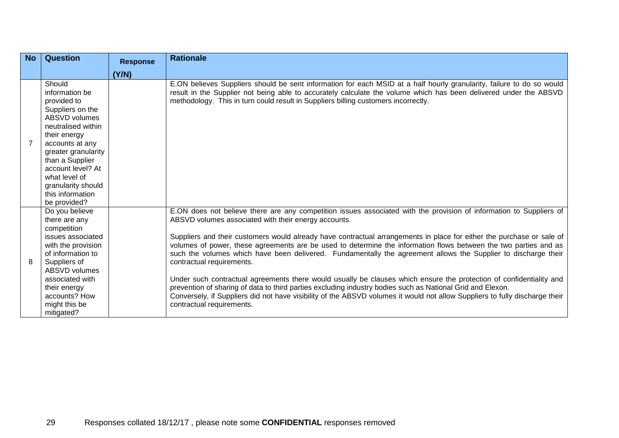| <b>No</b> | <b>Question</b>                                                                                                                                                                                                                                                                        | <b>Response</b> | <b>Rationale</b>                                                                                                                                                                                                                                                                                                                                                                                                                                                                                                                                                                                                                                                                                                                                                                                                                                                                                                                                                         |
|-----------|----------------------------------------------------------------------------------------------------------------------------------------------------------------------------------------------------------------------------------------------------------------------------------------|-----------------|--------------------------------------------------------------------------------------------------------------------------------------------------------------------------------------------------------------------------------------------------------------------------------------------------------------------------------------------------------------------------------------------------------------------------------------------------------------------------------------------------------------------------------------------------------------------------------------------------------------------------------------------------------------------------------------------------------------------------------------------------------------------------------------------------------------------------------------------------------------------------------------------------------------------------------------------------------------------------|
|           |                                                                                                                                                                                                                                                                                        | (Y/N)           |                                                                                                                                                                                                                                                                                                                                                                                                                                                                                                                                                                                                                                                                                                                                                                                                                                                                                                                                                                          |
|           | Should<br>information be<br>provided to<br>Suppliers on the<br><b>ABSVD volumes</b><br>neutralised within<br>their energy<br>accounts at any<br>greater granularity<br>than a Supplier<br>account level? At<br>what level of<br>granularity should<br>this information<br>be provided? |                 | E.ON believes Suppliers should be sent information for each MSID at a half hourly granularity, failure to do so would<br>result in the Supplier not being able to accurately calculate the volume which has been delivered under the ABSVD<br>methodology. This in turn could result in Suppliers billing customers incorrectly.                                                                                                                                                                                                                                                                                                                                                                                                                                                                                                                                                                                                                                         |
| 8         | Do you believe<br>there are any<br>competition<br>issues associated<br>with the provision<br>of information to<br>Suppliers of<br><b>ABSVD volumes</b><br>associated with<br>their energy<br>accounts? How<br>might this be<br>mitigated?                                              |                 | E.ON does not believe there are any competition issues associated with the provision of information to Suppliers of<br>ABSVD volumes associated with their energy accounts.<br>Suppliers and their customers would already have contractual arrangements in place for either the purchase or sale of<br>volumes of power, these agreements are be used to determine the information flows between the two parties and as<br>such the volumes which have been delivered. Fundamentally the agreement allows the Supplier to discharge their<br>contractual requirements.<br>Under such contractual agreements there would usually be clauses which ensure the protection of confidentiality and<br>prevention of sharing of data to third parties excluding industry bodies such as National Grid and Elexon.<br>Conversely, if Suppliers did not have visibility of the ABSVD volumes it would not allow Suppliers to fully discharge their<br>contractual requirements. |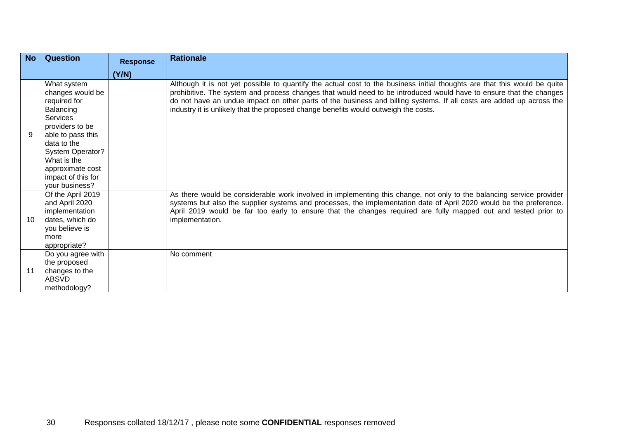| <b>No</b> | <b>Question</b>                                                                                                                                                                                                                | <b>Response</b> | <b>Rationale</b>                                                                                                                                                                                                                                                                                                                                                                                                                                               |
|-----------|--------------------------------------------------------------------------------------------------------------------------------------------------------------------------------------------------------------------------------|-----------------|----------------------------------------------------------------------------------------------------------------------------------------------------------------------------------------------------------------------------------------------------------------------------------------------------------------------------------------------------------------------------------------------------------------------------------------------------------------|
|           |                                                                                                                                                                                                                                | (Y/N)           |                                                                                                                                                                                                                                                                                                                                                                                                                                                                |
| 9         | What system<br>changes would be<br>required for<br>Balancing<br>Services<br>providers to be<br>able to pass this<br>data to the<br>System Operator?<br>What is the<br>approximate cost<br>impact of this for<br>your business? |                 | Although it is not yet possible to quantify the actual cost to the business initial thoughts are that this would be quite<br>prohibitive. The system and process changes that would need to be introduced would have to ensure that the changes<br>do not have an undue impact on other parts of the business and billing systems. If all costs are added up across the<br>industry it is unlikely that the proposed change benefits would outweigh the costs. |
| 10        | Of the April 2019<br>and April 2020<br>implementation<br>dates, which do<br>you believe is<br>more<br>appropriate?                                                                                                             |                 | As there would be considerable work involved in implementing this change, not only to the balancing service provider<br>systems but also the supplier systems and processes, the implementation date of April 2020 would be the preference.<br>April 2019 would be far too early to ensure that the changes required are fully mapped out and tested prior to<br>implementation.                                                                               |
| 11        | Do you agree with<br>the proposed<br>changes to the<br><b>ABSVD</b><br>methodology?                                                                                                                                            |                 | No comment                                                                                                                                                                                                                                                                                                                                                                                                                                                     |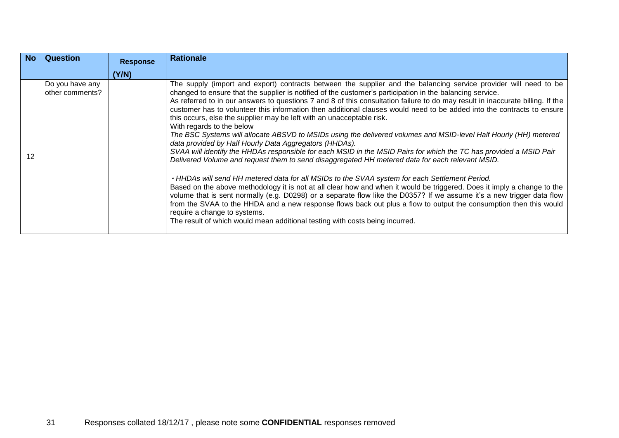| <b>No</b> | Question                           | <b>Response</b> | <b>Rationale</b>                                                                                                                                                                                                                                                                                                                                                                                                                                                                                                                                                                                                                                                                                                                                                                                                                                                                                                                                                                                                                                                                                                                                                                                                                                                                                                                                                                                                                                                                                                                                                                                   |
|-----------|------------------------------------|-----------------|----------------------------------------------------------------------------------------------------------------------------------------------------------------------------------------------------------------------------------------------------------------------------------------------------------------------------------------------------------------------------------------------------------------------------------------------------------------------------------------------------------------------------------------------------------------------------------------------------------------------------------------------------------------------------------------------------------------------------------------------------------------------------------------------------------------------------------------------------------------------------------------------------------------------------------------------------------------------------------------------------------------------------------------------------------------------------------------------------------------------------------------------------------------------------------------------------------------------------------------------------------------------------------------------------------------------------------------------------------------------------------------------------------------------------------------------------------------------------------------------------------------------------------------------------------------------------------------------------|
|           |                                    | (Y/N)           |                                                                                                                                                                                                                                                                                                                                                                                                                                                                                                                                                                                                                                                                                                                                                                                                                                                                                                                                                                                                                                                                                                                                                                                                                                                                                                                                                                                                                                                                                                                                                                                                    |
| 12        | Do you have any<br>other comments? |                 | The supply (import and export) contracts between the supplier and the balancing service provider will need to be<br>changed to ensure that the supplier is notified of the customer's participation in the balancing service.<br>As referred to in our answers to questions 7 and 8 of this consultation failure to do may result in inaccurate billing. If the<br>customer has to volunteer this information then additional clauses would need to be added into the contracts to ensure<br>this occurs, else the supplier may be left with an unacceptable risk.<br>With regards to the below<br>The BSC Systems will allocate ABSVD to MSIDs using the delivered volumes and MSID-level Half Hourly (HH) metered<br>data provided by Half Hourly Data Aggregators (HHDAs).<br>SVAA will identify the HHDAs responsible for each MSID in the MSID Pairs for which the TC has provided a MSID Pair<br>Delivered Volume and request them to send disaggregated HH metered data for each relevant MSID.<br>. HHDAs will send HH metered data for all MSIDs to the SVAA system for each Settlement Period.<br>Based on the above methodology it is not at all clear how and when it would be triggered. Does it imply a change to the<br>volume that is sent normally (e.g. D0298) or a separate flow like the D0357? If we assume it's a new trigger data flow<br>from the SVAA to the HHDA and a new response flows back out plus a flow to output the consumption then this would<br>require a change to systems.<br>The result of which would mean additional testing with costs being incurred. |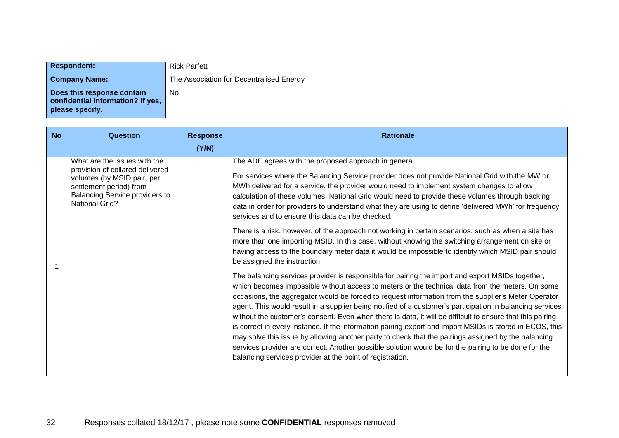| <b>Respondent:</b>                                                                 | <b>Rick Parfett</b>                      |
|------------------------------------------------------------------------------------|------------------------------------------|
| <b>Company Name:</b>                                                               | The Association for Decentralised Energy |
| Does this response contain<br>confidential information? If yes,<br>please specify. | No                                       |

| <b>No</b> | Question                                                                                                                                                                            | <b>Response</b><br>(Y/N) | <b>Rationale</b>                                                                                                                                                                                                                                                                                                                                                                                                                                                                                                                                                                                                                                                                                                                                                                                                                                                                                                                                                                                                                                                                                                                                                                                                                                                                                                                                                                                                                                                                                                                                                                                                                                                                                                                                                                                        |
|-----------|-------------------------------------------------------------------------------------------------------------------------------------------------------------------------------------|--------------------------|---------------------------------------------------------------------------------------------------------------------------------------------------------------------------------------------------------------------------------------------------------------------------------------------------------------------------------------------------------------------------------------------------------------------------------------------------------------------------------------------------------------------------------------------------------------------------------------------------------------------------------------------------------------------------------------------------------------------------------------------------------------------------------------------------------------------------------------------------------------------------------------------------------------------------------------------------------------------------------------------------------------------------------------------------------------------------------------------------------------------------------------------------------------------------------------------------------------------------------------------------------------------------------------------------------------------------------------------------------------------------------------------------------------------------------------------------------------------------------------------------------------------------------------------------------------------------------------------------------------------------------------------------------------------------------------------------------------------------------------------------------------------------------------------------------|
|           | What are the issues with the<br>provision of collared delivered<br>volumes (by MSID pair, per<br>settlement period) from<br>Balancing Service providers to<br><b>National Grid?</b> |                          | The ADE agrees with the proposed approach in general.<br>For services where the Balancing Service provider does not provide National Grid with the MW or<br>MWh delivered for a service, the provider would need to implement system changes to allow<br>calculation of these volumes. National Grid would need to provide these volumes through backing<br>data in order for providers to understand what they are using to define 'delivered MWh' for frequency<br>services and to ensure this data can be checked.<br>There is a risk, however, of the approach not working in certain scenarios, such as when a site has<br>more than one importing MSID. In this case, without knowing the switching arrangement on site or<br>having access to the boundary meter data it would be impossible to identify which MSID pair should<br>be assigned the instruction.<br>The balancing services provider is responsible for pairing the import and export MSIDs together,<br>which becomes impossible without access to meters or the technical data from the meters. On some<br>occasions, the aggregator would be forced to request information from the supplier's Meter Operator<br>agent. This would result in a supplier being notified of a customer's participation in balancing services<br>without the customer's consent. Even when there is data, it will be difficult to ensure that this pairing<br>is correct in every instance. If the information pairing export and import MSIDs is stored in ECOS, this<br>may solve this issue by allowing another party to check that the pairings assigned by the balancing<br>services provider are correct. Another possible solution would be for the pairing to be done for the<br>balancing services provider at the point of registration. |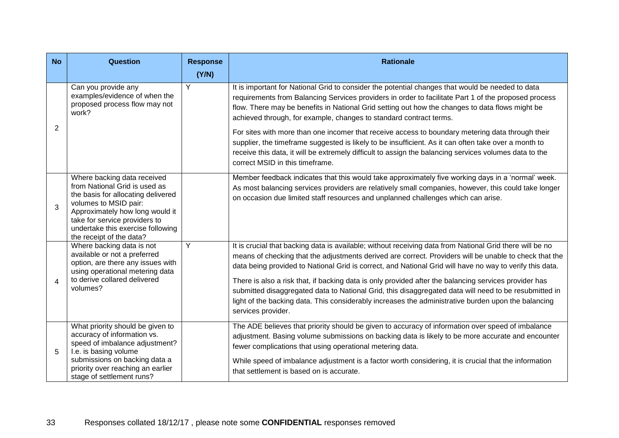| <b>No</b>             | <b>Question</b>                                                                                                                                                                                                                                                  | <b>Response</b><br>(Y/N) | <b>Rationale</b>                                                                                                                                                                                                                                                                                                                                                                                                                                                                                                                                                                                                                                                              |
|-----------------------|------------------------------------------------------------------------------------------------------------------------------------------------------------------------------------------------------------------------------------------------------------------|--------------------------|-------------------------------------------------------------------------------------------------------------------------------------------------------------------------------------------------------------------------------------------------------------------------------------------------------------------------------------------------------------------------------------------------------------------------------------------------------------------------------------------------------------------------------------------------------------------------------------------------------------------------------------------------------------------------------|
| 2                     | Can you provide any<br>examples/evidence of when the<br>proposed process flow may not<br>work?                                                                                                                                                                   | $\overline{Y}$           | It is important for National Grid to consider the potential changes that would be needed to data<br>requirements from Balancing Services providers in order to facilitate Part 1 of the proposed process<br>flow. There may be benefits in National Grid setting out how the changes to data flows might be<br>achieved through, for example, changes to standard contract terms.                                                                                                                                                                                                                                                                                             |
|                       |                                                                                                                                                                                                                                                                  |                          | For sites with more than one incomer that receive access to boundary metering data through their<br>supplier, the timeframe suggested is likely to be insufficient. As it can often take over a month to<br>receive this data, it will be extremely difficult to assign the balancing services volumes data to the<br>correct MSID in this timeframe.                                                                                                                                                                                                                                                                                                                         |
| 3                     | Where backing data received<br>from National Grid is used as<br>the basis for allocating delivered<br>volumes to MSID pair:<br>Approximately how long would it<br>take for service providers to<br>undertake this exercise following<br>the receipt of the data? |                          | Member feedback indicates that this would take approximately five working days in a 'normal' week.<br>As most balancing services providers are relatively small companies, however, this could take longer<br>on occasion due limited staff resources and unplanned challenges which can arise.                                                                                                                                                                                                                                                                                                                                                                               |
| $\boldsymbol{\Delta}$ | Where backing data is not<br>available or not a preferred<br>option, are there any issues with<br>using operational metering data<br>to derive collared delivered<br>volumes?                                                                                    | Y                        | It is crucial that backing data is available; without receiving data from National Grid there will be no<br>means of checking that the adjustments derived are correct. Providers will be unable to check that the<br>data being provided to National Grid is correct, and National Grid will have no way to verify this data.<br>There is also a risk that, if backing data is only provided after the balancing services provider has<br>submitted disaggregated data to National Grid, this disaggregated data will need to be resubmitted in<br>light of the backing data. This considerably increases the administrative burden upon the balancing<br>services provider. |
| 5                     | What priority should be given to<br>accuracy of information vs.<br>speed of imbalance adjustment?<br>I.e. is basing volume<br>submissions on backing data a<br>priority over reaching an earlier<br>stage of settlement runs?                                    |                          | The ADE believes that priority should be given to accuracy of information over speed of imbalance<br>adjustment. Basing volume submissions on backing data is likely to be more accurate and encounter<br>fewer complications that using operational metering data.<br>While speed of imbalance adjustment is a factor worth considering, it is crucial that the information<br>that settlement is based on is accurate.                                                                                                                                                                                                                                                      |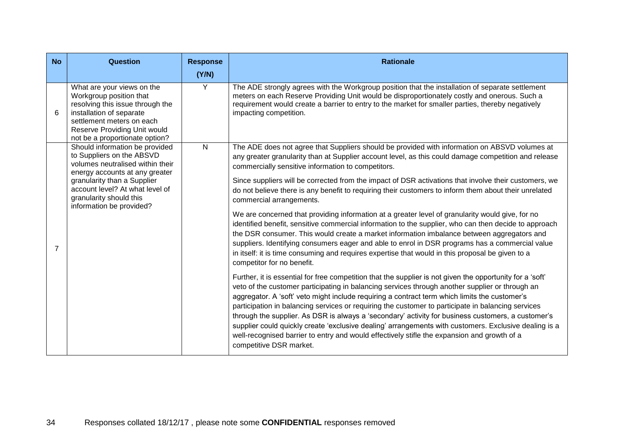| <b>No</b> | Question                                                                                                                                                                                                                                                   | <b>Response</b><br>(Y/N) | <b>Rationale</b>                                                                                                                                                                                                                                                                                                                                                                                                                                                                                                                                                                                                                                                                                                                                                                                                                                                                                                                                                                                                                                                                                                                                                                                                                                                                                                                                                                                                                                                                                                                                                                                                                                                                                                                                                                                                          |
|-----------|------------------------------------------------------------------------------------------------------------------------------------------------------------------------------------------------------------------------------------------------------------|--------------------------|---------------------------------------------------------------------------------------------------------------------------------------------------------------------------------------------------------------------------------------------------------------------------------------------------------------------------------------------------------------------------------------------------------------------------------------------------------------------------------------------------------------------------------------------------------------------------------------------------------------------------------------------------------------------------------------------------------------------------------------------------------------------------------------------------------------------------------------------------------------------------------------------------------------------------------------------------------------------------------------------------------------------------------------------------------------------------------------------------------------------------------------------------------------------------------------------------------------------------------------------------------------------------------------------------------------------------------------------------------------------------------------------------------------------------------------------------------------------------------------------------------------------------------------------------------------------------------------------------------------------------------------------------------------------------------------------------------------------------------------------------------------------------------------------------------------------------|
| 6         | What are your views on the<br>Workgroup position that<br>resolving this issue through the<br>installation of separate<br>settlement meters on each<br>Reserve Providing Unit would<br>not be a proportionate option?                                       | $\overline{Y}$           | The ADE strongly agrees with the Workgroup position that the installation of separate settlement<br>meters on each Reserve Providing Unit would be disproportionately costly and onerous. Such a<br>requirement would create a barrier to entry to the market for smaller parties, thereby negatively<br>impacting competition.                                                                                                                                                                                                                                                                                                                                                                                                                                                                                                                                                                                                                                                                                                                                                                                                                                                                                                                                                                                                                                                                                                                                                                                                                                                                                                                                                                                                                                                                                           |
| 7         | Should information be provided<br>to Suppliers on the ABSVD<br>volumes neutralised within their<br>energy accounts at any greater<br>granularity than a Supplier<br>account level? At what level of<br>granularity should this<br>information be provided? | $\mathsf{N}$             | The ADE does not agree that Suppliers should be provided with information on ABSVD volumes at<br>any greater granularity than at Supplier account level, as this could damage competition and release<br>commercially sensitive information to competitors.<br>Since suppliers will be corrected from the impact of DSR activations that involve their customers, we<br>do not believe there is any benefit to requiring their customers to inform them about their unrelated<br>commercial arrangements.<br>We are concerned that providing information at a greater level of granularity would give, for no<br>identified benefit, sensitive commercial information to the supplier, who can then decide to approach<br>the DSR consumer. This would create a market information imbalance between aggregators and<br>suppliers. Identifying consumers eager and able to enrol in DSR programs has a commercial value<br>in itself: it is time consuming and requires expertise that would in this proposal be given to a<br>competitor for no benefit.<br>Further, it is essential for free competition that the supplier is not given the opportunity for a 'soft'<br>veto of the customer participating in balancing services through another supplier or through an<br>aggregator. A 'soft' veto might include requiring a contract term which limits the customer's<br>participation in balancing services or requiring the customer to participate in balancing services<br>through the supplier. As DSR is always a 'secondary' activity for business customers, a customer's<br>supplier could quickly create 'exclusive dealing' arrangements with customers. Exclusive dealing is a<br>well-recognised barrier to entry and would effectively stifle the expansion and growth of a<br>competitive DSR market. |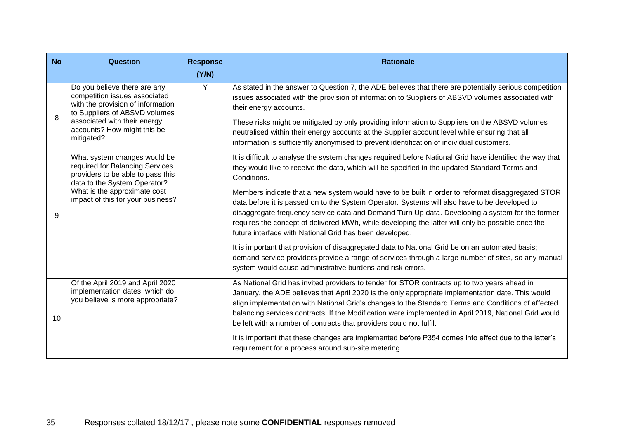| <b>No</b> | Question                                                                                                                                                                                                         | <b>Response</b><br>(Y/N) | <b>Rationale</b>                                                                                                                                                                                                                                                                                                                                                                                                                                                                                                                                                                                                                                                                                                                                                                                                                                                                                                                                                           |
|-----------|------------------------------------------------------------------------------------------------------------------------------------------------------------------------------------------------------------------|--------------------------|----------------------------------------------------------------------------------------------------------------------------------------------------------------------------------------------------------------------------------------------------------------------------------------------------------------------------------------------------------------------------------------------------------------------------------------------------------------------------------------------------------------------------------------------------------------------------------------------------------------------------------------------------------------------------------------------------------------------------------------------------------------------------------------------------------------------------------------------------------------------------------------------------------------------------------------------------------------------------|
| 8         | Do you believe there are any<br>competition issues associated<br>with the provision of information<br>to Suppliers of ABSVD volumes<br>associated with their energy<br>accounts? How might this be<br>mitigated? | $\overline{Y}$           | As stated in the answer to Question 7, the ADE believes that there are potentially serious competition<br>issues associated with the provision of information to Suppliers of ABSVD volumes associated with<br>their energy accounts.<br>These risks might be mitigated by only providing information to Suppliers on the ABSVD volumes<br>neutralised within their energy accounts at the Supplier account level while ensuring that all<br>information is sufficiently anonymised to prevent identification of individual customers.                                                                                                                                                                                                                                                                                                                                                                                                                                     |
| 9         | What system changes would be<br>required for Balancing Services<br>providers to be able to pass this<br>data to the System Operator?<br>What is the approximate cost<br>impact of this for your business?        |                          | It is difficult to analyse the system changes required before National Grid have identified the way that<br>they would like to receive the data, which will be specified in the updated Standard Terms and<br>Conditions.<br>Members indicate that a new system would have to be built in order to reformat disaggregated STOR<br>data before it is passed on to the System Operator. Systems will also have to be developed to<br>disaggregate frequency service data and Demand Turn Up data. Developing a system for the former<br>requires the concept of delivered MWh, while developing the latter will only be possible once the<br>future interface with National Grid has been developed.<br>It is important that provision of disaggregated data to National Grid be on an automated basis;<br>demand service providers provide a range of services through a large number of sites, so any manual<br>system would cause administrative burdens and risk errors. |
| 10        | Of the April 2019 and April 2020<br>implementation dates, which do<br>you believe is more appropriate?                                                                                                           |                          | As National Grid has invited providers to tender for STOR contracts up to two years ahead in<br>January, the ADE believes that April 2020 is the only appropriate implementation date. This would<br>align implementation with National Grid's changes to the Standard Terms and Conditions of affected<br>balancing services contracts. If the Modification were implemented in April 2019, National Grid would<br>be left with a number of contracts that providers could not fulfil.<br>It is important that these changes are implemented before P354 comes into effect due to the latter's<br>requirement for a process around sub-site metering.                                                                                                                                                                                                                                                                                                                     |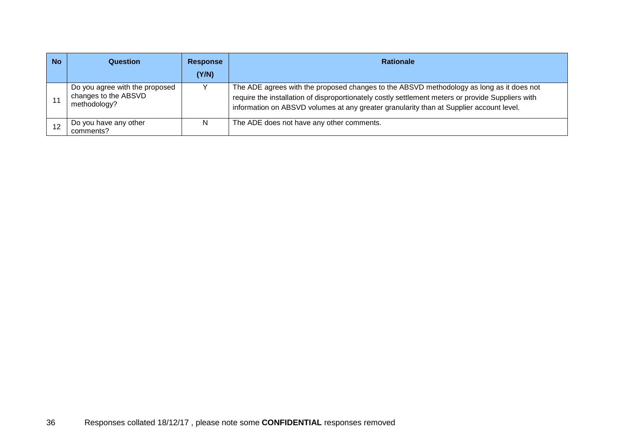| <b>No</b> | Question                                                               | <b>Response</b><br>(Y/N) | <b>Rationale</b>                                                                                                                                                                                                                                                                         |
|-----------|------------------------------------------------------------------------|--------------------------|------------------------------------------------------------------------------------------------------------------------------------------------------------------------------------------------------------------------------------------------------------------------------------------|
|           | Do you agree with the proposed<br>changes to the ABSVD<br>methodology? |                          | The ADE agrees with the proposed changes to the ABSVD methodology as long as it does not<br>require the installation of disproportionately costly settlement meters or provide Suppliers with<br>information on ABSVD volumes at any greater granularity than at Supplier account level. |
|           | Do you have any other<br>comments?                                     | N                        | The ADE does not have any other comments.                                                                                                                                                                                                                                                |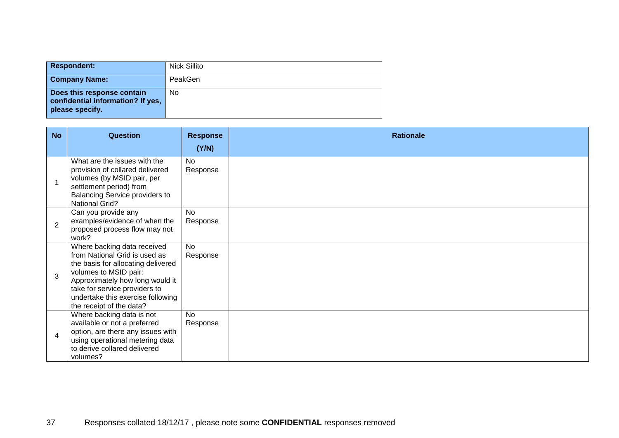| <b>Respondent:</b>                                                                 | Nick Sillito |
|------------------------------------------------------------------------------------|--------------|
| <b>Company Name:</b>                                                               | PeakGen      |
| Does this response contain<br>confidential information? If yes,<br>please specify. | No           |

| <b>No</b>                | Question                                                                                                                                                                                                                                                         | <b>Response</b><br>(Y/N) | <b>Rationale</b> |
|--------------------------|------------------------------------------------------------------------------------------------------------------------------------------------------------------------------------------------------------------------------------------------------------------|--------------------------|------------------|
| $\overline{\phantom{a}}$ | What are the issues with the<br>provision of collared delivered<br>volumes (by MSID pair, per<br>settlement period) from                                                                                                                                         | <b>No</b><br>Response    |                  |
| $\overline{2}$           | Balancing Service providers to<br><b>National Grid?</b><br>Can you provide any<br>examples/evidence of when the<br>proposed process flow may not<br>work?                                                                                                        | <b>No</b><br>Response    |                  |
| 3                        | Where backing data received<br>from National Grid is used as<br>the basis for allocating delivered<br>volumes to MSID pair:<br>Approximately how long would it<br>take for service providers to<br>undertake this exercise following<br>the receipt of the data? | <b>No</b><br>Response    |                  |
| $\overline{4}$           | Where backing data is not<br>available or not a preferred<br>option, are there any issues with<br>using operational metering data<br>to derive collared delivered<br>volumes?                                                                                    | <b>No</b><br>Response    |                  |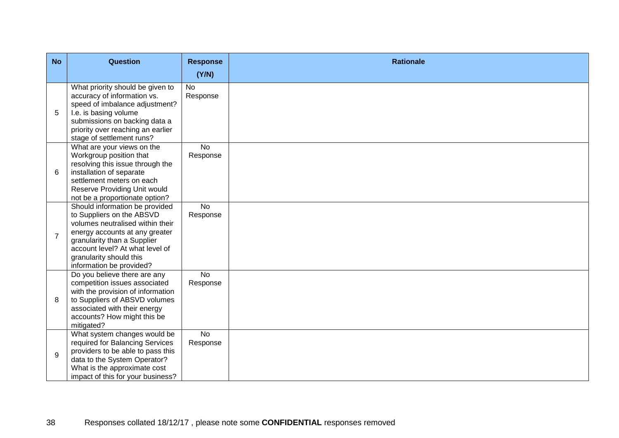| <b>No</b>      | <b>Question</b>                                                                                                                                                                                                                                            | <b>Response</b>            | <b>Rationale</b> |
|----------------|------------------------------------------------------------------------------------------------------------------------------------------------------------------------------------------------------------------------------------------------------------|----------------------------|------------------|
|                |                                                                                                                                                                                                                                                            | (Y/N)                      |                  |
| 5              | What priority should be given to<br>accuracy of information vs.<br>speed of imbalance adjustment?<br>I.e. is basing volume<br>submissions on backing data a<br>priority over reaching an earlier<br>stage of settlement runs?                              | No<br>Response             |                  |
| 6              | What are your views on the<br>Workgroup position that<br>resolving this issue through the<br>installation of separate<br>settlement meters on each<br>Reserve Providing Unit would<br>not be a proportionate option?                                       | <b>No</b><br>Response      |                  |
| $\overline{7}$ | Should information be provided<br>to Suppliers on the ABSVD<br>volumes neutralised within their<br>energy accounts at any greater<br>granularity than a Supplier<br>account level? At what level of<br>granularity should this<br>information be provided? | $\overline{N}$<br>Response |                  |
| 8              | Do you believe there are any<br>competition issues associated<br>with the provision of information<br>to Suppliers of ABSVD volumes<br>associated with their energy<br>accounts? How might this be<br>mitigated?                                           | <b>No</b><br>Response      |                  |
| 9              | What system changes would be<br>required for Balancing Services<br>providers to be able to pass this<br>data to the System Operator?<br>What is the approximate cost<br>impact of this for your business?                                                  | $\overline{N}$<br>Response |                  |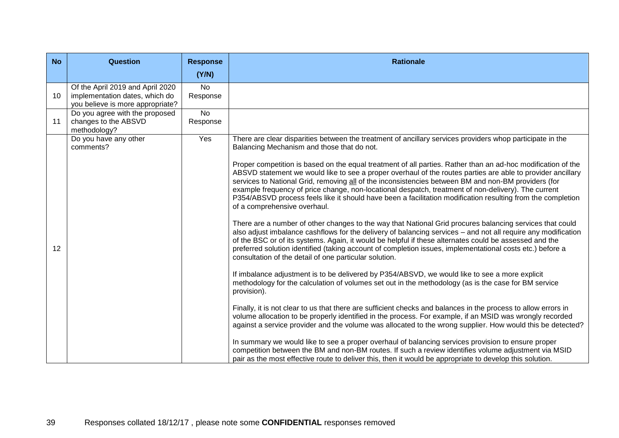| <b>No</b> | <b>Question</b>                                                                                        | <b>Response</b>            | <b>Rationale</b>                                                                                                                                                                                                                                                                                                                                                                                                                                                                                                                                                                         |
|-----------|--------------------------------------------------------------------------------------------------------|----------------------------|------------------------------------------------------------------------------------------------------------------------------------------------------------------------------------------------------------------------------------------------------------------------------------------------------------------------------------------------------------------------------------------------------------------------------------------------------------------------------------------------------------------------------------------------------------------------------------------|
|           |                                                                                                        | (Y/N)                      |                                                                                                                                                                                                                                                                                                                                                                                                                                                                                                                                                                                          |
| 10        | Of the April 2019 and April 2020<br>implementation dates, which do<br>you believe is more appropriate? | <b>No</b><br>Response      |                                                                                                                                                                                                                                                                                                                                                                                                                                                                                                                                                                                          |
| 11        | Do you agree with the proposed<br>changes to the ABSVD<br>methodology?                                 | $\overline{N}$<br>Response |                                                                                                                                                                                                                                                                                                                                                                                                                                                                                                                                                                                          |
|           | Do you have any other<br>comments?                                                                     | Yes                        | There are clear disparities between the treatment of ancillary services providers whop participate in the<br>Balancing Mechanism and those that do not.                                                                                                                                                                                                                                                                                                                                                                                                                                  |
|           |                                                                                                        |                            | Proper competition is based on the equal treatment of all parties. Rather than an ad-hoc modification of the<br>ABSVD statement we would like to see a proper overhaul of the routes parties are able to provider ancillary<br>services to National Grid, removing all of the inconsistencies between BM and non-BM providers (for<br>example frequency of price change, non-locational despatch, treatment of non-delivery). The current<br>P354/ABSVD process feels like it should have been a facilitation modification resulting from the completion<br>of a comprehensive overhaul. |
| 12        |                                                                                                        |                            | There are a number of other changes to the way that National Grid procures balancing services that could<br>also adjust imbalance cashflows for the delivery of balancing services - and not all require any modification<br>of the BSC or of its systems. Again, it would be helpful if these alternates could be assessed and the<br>preferred solution identified (taking account of completion issues, implementational costs etc.) before a<br>consultation of the detail of one particular solution.                                                                               |
|           |                                                                                                        |                            | If imbalance adjustment is to be delivered by P354/ABSVD, we would like to see a more explicit<br>methodology for the calculation of volumes set out in the methodology (as is the case for BM service<br>provision).                                                                                                                                                                                                                                                                                                                                                                    |
|           |                                                                                                        |                            | Finally, it is not clear to us that there are sufficient checks and balances in the process to allow errors in<br>volume allocation to be properly identified in the process. For example, if an MSID was wrongly recorded<br>against a service provider and the volume was allocated to the wrong supplier. How would this be detected?                                                                                                                                                                                                                                                 |
|           |                                                                                                        |                            | In summary we would like to see a proper overhaul of balancing services provision to ensure proper<br>competition between the BM and non-BM routes. If such a review identifies volume adjustment via MSID<br>pair as the most effective route to deliver this, then it would be appropriate to develop this solution.                                                                                                                                                                                                                                                                   |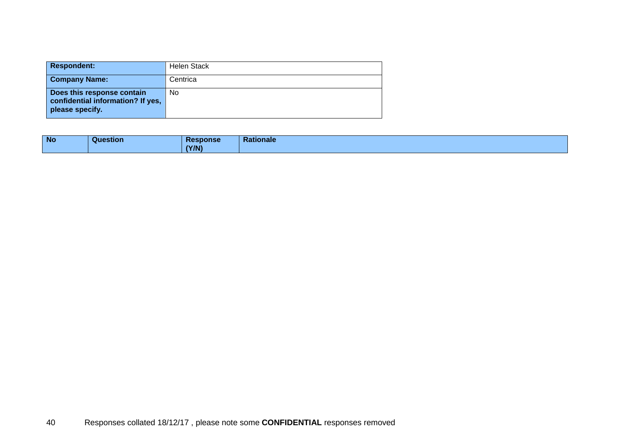| <b>Respondent:</b>                                                                 | <b>Helen Stack</b> |
|------------------------------------------------------------------------------------|--------------------|
| <b>Company Name:</b>                                                               | Centrica           |
| Does this response contain<br>confidential information? If yes,<br>please specify. | No                 |

| <b>No</b> | Question | <b>Response</b><br>(Y/N) | Rationale |
|-----------|----------|--------------------------|-----------|
|-----------|----------|--------------------------|-----------|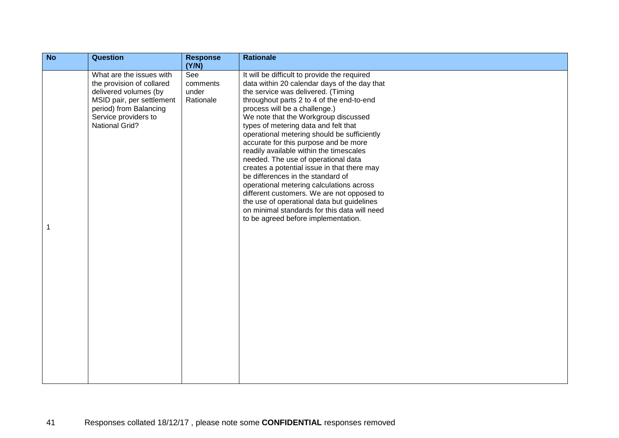| N <sub>o</sub> | <b>Question</b>                                                                                                                                                                        | <b>Response</b><br>(Y/N)              | <b>Rationale</b>                                                                                                                                                                                                                                                                                                                                                                                                                                                                                                                                                                                                                                                                                                                                                                              |
|----------------|----------------------------------------------------------------------------------------------------------------------------------------------------------------------------------------|---------------------------------------|-----------------------------------------------------------------------------------------------------------------------------------------------------------------------------------------------------------------------------------------------------------------------------------------------------------------------------------------------------------------------------------------------------------------------------------------------------------------------------------------------------------------------------------------------------------------------------------------------------------------------------------------------------------------------------------------------------------------------------------------------------------------------------------------------|
|                | What are the issues with<br>the provision of collared<br>delivered volumes (by<br>MSID pair, per settlement<br>period) from Balancing<br>Service providers to<br><b>National Grid?</b> | See<br>comments<br>under<br>Rationale | It will be difficult to provide the required<br>data within 20 calendar days of the day that<br>the service was delivered. (Timing<br>throughout parts 2 to 4 of the end-to-end<br>process will be a challenge.)<br>We note that the Workgroup discussed<br>types of metering data and felt that<br>operational metering should be sufficiently<br>accurate for this purpose and be more<br>readily available within the timescales<br>needed. The use of operational data<br>creates a potential issue in that there may<br>be differences in the standard of<br>operational metering calculations across<br>different customers. We are not opposed to<br>the use of operational data but guidelines<br>on minimal standards for this data will need<br>to be agreed before implementation. |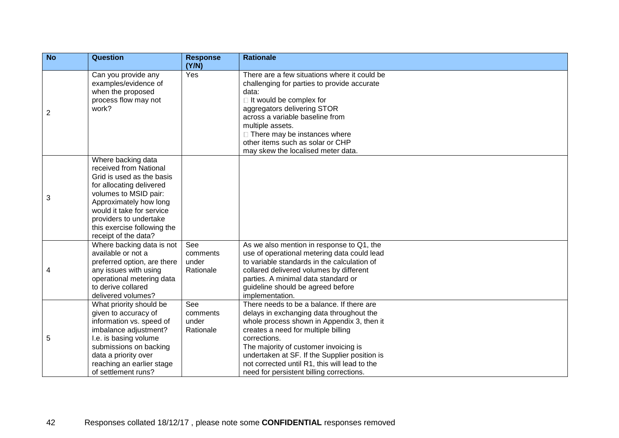| N <sub>o</sub> | <b>Question</b>                                                                                                                                                                                                                                                        | <b>Response</b><br>(Y/N)              | <b>Rationale</b>                                                                                                                                                                                                                                                                                                                                                                  |
|----------------|------------------------------------------------------------------------------------------------------------------------------------------------------------------------------------------------------------------------------------------------------------------------|---------------------------------------|-----------------------------------------------------------------------------------------------------------------------------------------------------------------------------------------------------------------------------------------------------------------------------------------------------------------------------------------------------------------------------------|
| $\overline{2}$ | Can you provide any<br>examples/evidence of<br>when the proposed<br>process flow may not<br>work?                                                                                                                                                                      | Yes                                   | There are a few situations where it could be<br>challenging for parties to provide accurate<br>data:<br>$\Box$ It would be complex for<br>aggregators delivering STOR<br>across a variable baseline from<br>multiple assets.<br>$\Box$ There may be instances where<br>other items such as solar or CHP<br>may skew the localised meter data.                                     |
| 3              | Where backing data<br>received from National<br>Grid is used as the basis<br>for allocating delivered<br>volumes to MSID pair:<br>Approximately how long<br>would it take for service<br>providers to undertake<br>this exercise following the<br>receipt of the data? |                                       |                                                                                                                                                                                                                                                                                                                                                                                   |
| 4              | Where backing data is not<br>available or not a<br>preferred option, are there<br>any issues with using<br>operational metering data<br>to derive collared<br>delivered volumes?                                                                                       | See<br>comments<br>under<br>Rationale | As we also mention in response to Q1, the<br>use of operational metering data could lead<br>to variable standards in the calculation of<br>collared delivered volumes by different<br>parties. A minimal data standard or<br>guideline should be agreed before<br>implementation.                                                                                                 |
| 5              | What priority should be<br>given to accuracy of<br>information vs. speed of<br>imbalance adjustment?<br>I.e. is basing volume<br>submissions on backing<br>data a priority over<br>reaching an earlier stage<br>of settlement runs?                                    | See<br>comments<br>under<br>Rationale | There needs to be a balance. If there are<br>delays in exchanging data throughout the<br>whole process shown in Appendix 3, then it<br>creates a need for multiple billing<br>corrections.<br>The majority of customer invoicing is<br>undertaken at SF. If the Supplier position is<br>not corrected until R1, this will lead to the<br>need for persistent billing corrections. |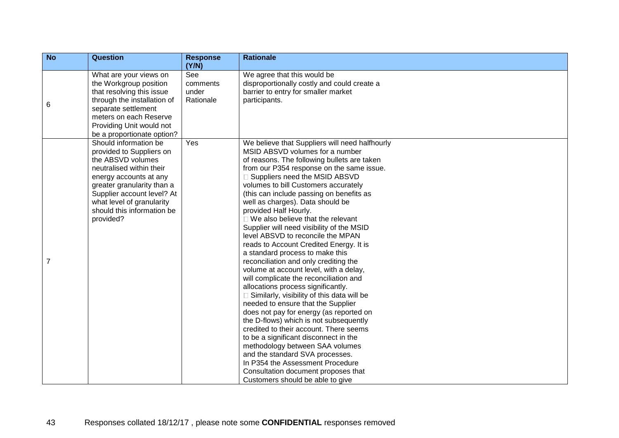| N <sub>o</sub> | <b>Question</b>                                                                                                                                                                                                                                                  | <b>Response</b><br>(Y/N)              | <b>Rationale</b>                                                                                                                                                                                                                                                                                                                                                                                                                                                                                                                                                                                                                                                                                                                                                                                                                                                                                                                                                                                                                                                                                                                                                                                |
|----------------|------------------------------------------------------------------------------------------------------------------------------------------------------------------------------------------------------------------------------------------------------------------|---------------------------------------|-------------------------------------------------------------------------------------------------------------------------------------------------------------------------------------------------------------------------------------------------------------------------------------------------------------------------------------------------------------------------------------------------------------------------------------------------------------------------------------------------------------------------------------------------------------------------------------------------------------------------------------------------------------------------------------------------------------------------------------------------------------------------------------------------------------------------------------------------------------------------------------------------------------------------------------------------------------------------------------------------------------------------------------------------------------------------------------------------------------------------------------------------------------------------------------------------|
| 6              | What are your views on<br>the Workgroup position<br>that resolving this issue<br>through the installation of<br>separate settlement<br>meters on each Reserve<br>Providing Unit would not<br>be a proportionate option?                                          | See<br>comments<br>under<br>Rationale | We agree that this would be<br>disproportionally costly and could create a<br>barrier to entry for smaller market<br>participants.                                                                                                                                                                                                                                                                                                                                                                                                                                                                                                                                                                                                                                                                                                                                                                                                                                                                                                                                                                                                                                                              |
| $\overline{7}$ | Should information be<br>provided to Suppliers on<br>the ABSVD volumes<br>neutralised within their<br>energy accounts at any<br>greater granularity than a<br>Supplier account level? At<br>what level of granularity<br>should this information be<br>provided? | Yes                                   | We believe that Suppliers will need halfhourly<br>MSID ABSVD volumes for a number<br>of reasons. The following bullets are taken<br>from our P354 response on the same issue.<br>Suppliers need the MSID ABSVD<br>volumes to bill Customers accurately<br>(this can include passing on benefits as<br>well as charges). Data should be<br>provided Half Hourly.<br>$\Box$ We also believe that the relevant<br>Supplier will need visibility of the MSID<br>level ABSVD to reconcile the MPAN<br>reads to Account Credited Energy. It is<br>a standard process to make this<br>reconciliation and only crediting the<br>volume at account level, with a delay,<br>will complicate the reconciliation and<br>allocations process significantly.<br>Similarly, visibility of this data will be<br>needed to ensure that the Supplier<br>does not pay for energy (as reported on<br>the D-flows) which is not subsequently<br>credited to their account. There seems<br>to be a significant disconnect in the<br>methodology between SAA volumes<br>and the standard SVA processes.<br>In P354 the Assessment Procedure<br>Consultation document proposes that<br>Customers should be able to give |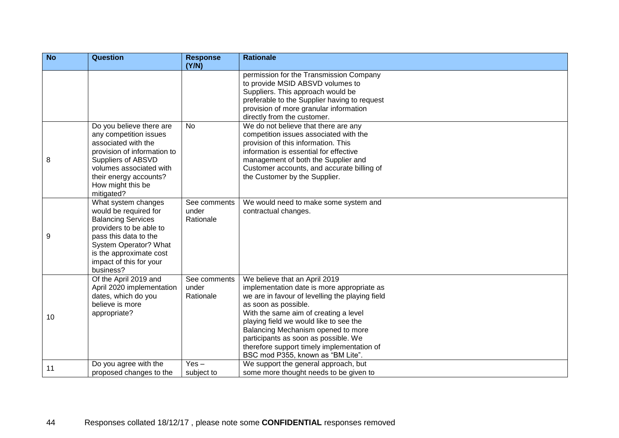| N <sub>o</sub> | <b>Question</b>                                                                                                                                                                                                           | <b>Response</b><br>(Y/N)           | <b>Rationale</b>                                                                                                                                                                                                                                                                                                                                                                                           |
|----------------|---------------------------------------------------------------------------------------------------------------------------------------------------------------------------------------------------------------------------|------------------------------------|------------------------------------------------------------------------------------------------------------------------------------------------------------------------------------------------------------------------------------------------------------------------------------------------------------------------------------------------------------------------------------------------------------|
|                |                                                                                                                                                                                                                           |                                    | permission for the Transmission Company<br>to provide MSID ABSVD volumes to<br>Suppliers. This approach would be<br>preferable to the Supplier having to request<br>provision of more granular information<br>directly from the customer.                                                                                                                                                                  |
| 8              | Do you believe there are<br>any competition issues<br>associated with the<br>provision of information to<br>Suppliers of ABSVD<br>volumes associated with<br>their energy accounts?<br>How might this be<br>mitigated?    | <b>No</b>                          | We do not believe that there are any<br>competition issues associated with the<br>provision of this information. This<br>information is essential for effective<br>management of both the Supplier and<br>Customer accounts, and accurate billing of<br>the Customer by the Supplier.                                                                                                                      |
| 9              | What system changes<br>would be required for<br><b>Balancing Services</b><br>providers to be able to<br>pass this data to the<br>System Operator? What<br>is the approximate cost<br>impact of this for your<br>business? | See comments<br>under<br>Rationale | We would need to make some system and<br>contractual changes.                                                                                                                                                                                                                                                                                                                                              |
| 10             | Of the April 2019 and<br>April 2020 implementation<br>dates, which do you<br>believe is more<br>appropriate?                                                                                                              | See comments<br>under<br>Rationale | We believe that an April 2019<br>implementation date is more appropriate as<br>we are in favour of levelling the playing field<br>as soon as possible.<br>With the same aim of creating a level<br>playing field we would like to see the<br>Balancing Mechanism opened to more<br>participants as soon as possible. We<br>therefore support timely implementation of<br>BSC mod P355, known as "BM Lite". |
| 11             | Do you agree with the<br>proposed changes to the                                                                                                                                                                          | $Yes -$<br>subject to              | We support the general approach, but<br>some more thought needs to be given to                                                                                                                                                                                                                                                                                                                             |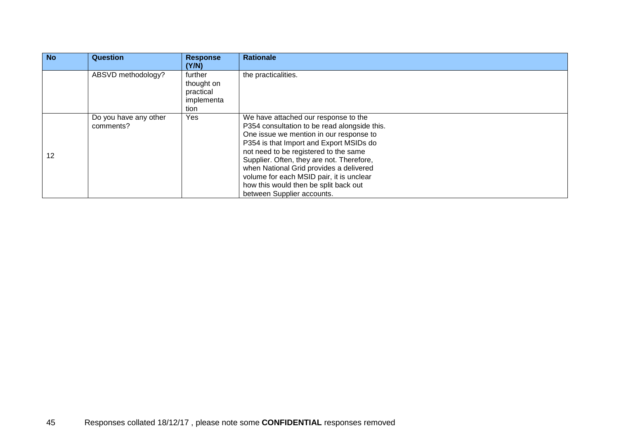| <b>No</b> | <b>Question</b>                    | <b>Response</b><br>(Y/N)                                 | <b>Rationale</b>                                                                                                                                                                                                                                                                                                                                                                                                               |
|-----------|------------------------------------|----------------------------------------------------------|--------------------------------------------------------------------------------------------------------------------------------------------------------------------------------------------------------------------------------------------------------------------------------------------------------------------------------------------------------------------------------------------------------------------------------|
|           | ABSVD methodology?                 | further<br>thought on<br>practical<br>implementa<br>tion | the practicalities.                                                                                                                                                                                                                                                                                                                                                                                                            |
| 12        | Do you have any other<br>comments? | Yes                                                      | We have attached our response to the<br>P354 consultation to be read alongside this.<br>One issue we mention in our response to<br>P354 is that Import and Export MSIDs do<br>not need to be registered to the same<br>Supplier. Often, they are not. Therefore,<br>when National Grid provides a delivered<br>volume for each MSID pair, it is unclear<br>how this would then be split back out<br>between Supplier accounts. |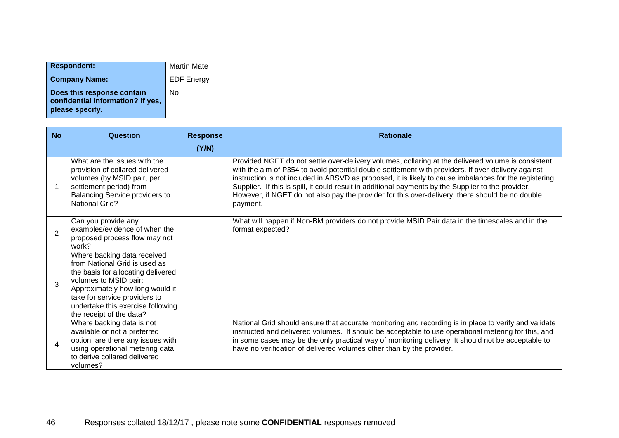| <b>Respondent:</b>                                                                 | <b>Martin Mate</b> |
|------------------------------------------------------------------------------------|--------------------|
| <b>Company Name:</b>                                                               | <b>EDF Energy</b>  |
| Does this response contain<br>confidential information? If yes,<br>please specify. | No                 |

| <b>No</b>        | Question                                                                                                                                                                                                                                                         | <b>Response</b><br>(Y/N) | <b>Rationale</b>                                                                                                                                                                                                                                                                                                                                                                                                                                                                                                                         |
|------------------|------------------------------------------------------------------------------------------------------------------------------------------------------------------------------------------------------------------------------------------------------------------|--------------------------|------------------------------------------------------------------------------------------------------------------------------------------------------------------------------------------------------------------------------------------------------------------------------------------------------------------------------------------------------------------------------------------------------------------------------------------------------------------------------------------------------------------------------------------|
|                  | What are the issues with the<br>provision of collared delivered<br>volumes (by MSID pair, per<br>settlement period) from<br><b>Balancing Service providers to</b><br><b>National Grid?</b>                                                                       |                          | Provided NGET do not settle over-delivery volumes, collaring at the delivered volume is consistent<br>with the aim of P354 to avoid potential double settlement with providers. If over-delivery against<br>instruction is not included in ABSVD as proposed, it is likely to cause imbalances for the registering<br>Supplier. If this is spill, it could result in additional payments by the Supplier to the provider.<br>However, if NGET do not also pay the provider for this over-delivery, there should be no double<br>payment. |
| $\mathbf{2}$     | Can you provide any<br>examples/evidence of when the<br>proposed process flow may not<br>work?                                                                                                                                                                   |                          | What will happen if Non-BM providers do not provide MSID Pair data in the timescales and in the<br>format expected?                                                                                                                                                                                                                                                                                                                                                                                                                      |
| 3                | Where backing data received<br>from National Grid is used as<br>the basis for allocating delivered<br>volumes to MSID pair:<br>Approximately how long would it<br>take for service providers to<br>undertake this exercise following<br>the receipt of the data? |                          |                                                                                                                                                                                                                                                                                                                                                                                                                                                                                                                                          |
| $\boldsymbol{4}$ | Where backing data is not<br>available or not a preferred<br>option, are there any issues with<br>using operational metering data<br>to derive collared delivered<br>volumes?                                                                                    |                          | National Grid should ensure that accurate monitoring and recording is in place to verify and validate<br>instructed and delivered volumes. It should be acceptable to use operational metering for this, and<br>in some cases may be the only practical way of monitoring delivery. It should not be acceptable to<br>have no verification of delivered volumes other than by the provider.                                                                                                                                              |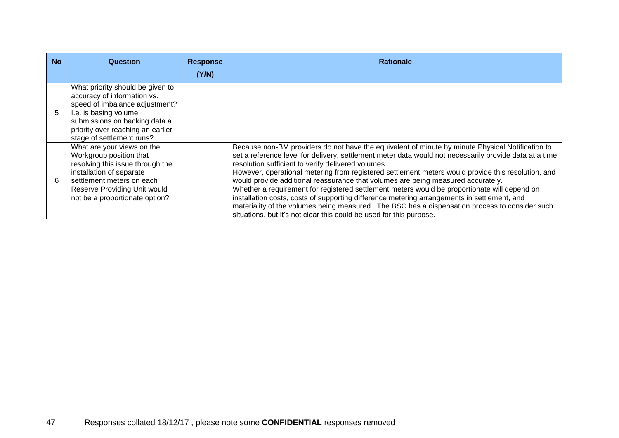| <b>No</b> | Question                                                                                                                                                                                                                      | <b>Response</b> | <b>Rationale</b>                                                                                                                                                                                                                                                                                                                                                                                                                                                                                                                                                                                                                                                                                                                                                                                                                   |
|-----------|-------------------------------------------------------------------------------------------------------------------------------------------------------------------------------------------------------------------------------|-----------------|------------------------------------------------------------------------------------------------------------------------------------------------------------------------------------------------------------------------------------------------------------------------------------------------------------------------------------------------------------------------------------------------------------------------------------------------------------------------------------------------------------------------------------------------------------------------------------------------------------------------------------------------------------------------------------------------------------------------------------------------------------------------------------------------------------------------------------|
|           |                                                                                                                                                                                                                               | (Y/N)           |                                                                                                                                                                                                                                                                                                                                                                                                                                                                                                                                                                                                                                                                                                                                                                                                                                    |
| 5.        | What priority should be given to<br>accuracy of information vs.<br>speed of imbalance adjustment?<br>I.e. is basing volume<br>submissions on backing data a<br>priority over reaching an earlier<br>stage of settlement runs? |                 |                                                                                                                                                                                                                                                                                                                                                                                                                                                                                                                                                                                                                                                                                                                                                                                                                                    |
| 6         | What are your views on the<br>Workgroup position that<br>resolving this issue through the<br>installation of separate<br>settlement meters on each<br>Reserve Providing Unit would<br>not be a proportionate option?          |                 | Because non-BM providers do not have the equivalent of minute by minute Physical Notification to<br>set a reference level for delivery, settlement meter data would not necessarily provide data at a time<br>resolution sufficient to verify delivered volumes.<br>However, operational metering from registered settlement meters would provide this resolution, and<br>would provide additional reassurance that volumes are being measured accurately.<br>Whether a requirement for registered settlement meters would be proportionate will depend on<br>installation costs, costs of supporting difference metering arrangements in settlement, and<br>materiality of the volumes being measured. The BSC has a dispensation process to consider such<br>situations, but it's not clear this could be used for this purpose. |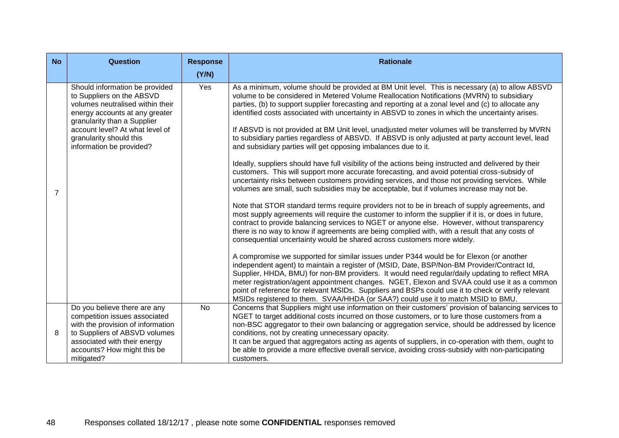| <b>No</b>      | <b>Question</b>                                                                                                                                                                                                                                            | <b>Response</b> | <b>Rationale</b>                                                                                                                                                                                                                                                                                                                                                                                                                                                                                                                                                                                                                                                                                                                                                                                                                                                                                                                                                                                                                                                                                                                                                                                                                                                                                                                                                                                                                                                                                                                                                                                                                                                                                                                                                                                                                                                                                                                                                                                                                                                                                                                                                   |
|----------------|------------------------------------------------------------------------------------------------------------------------------------------------------------------------------------------------------------------------------------------------------------|-----------------|--------------------------------------------------------------------------------------------------------------------------------------------------------------------------------------------------------------------------------------------------------------------------------------------------------------------------------------------------------------------------------------------------------------------------------------------------------------------------------------------------------------------------------------------------------------------------------------------------------------------------------------------------------------------------------------------------------------------------------------------------------------------------------------------------------------------------------------------------------------------------------------------------------------------------------------------------------------------------------------------------------------------------------------------------------------------------------------------------------------------------------------------------------------------------------------------------------------------------------------------------------------------------------------------------------------------------------------------------------------------------------------------------------------------------------------------------------------------------------------------------------------------------------------------------------------------------------------------------------------------------------------------------------------------------------------------------------------------------------------------------------------------------------------------------------------------------------------------------------------------------------------------------------------------------------------------------------------------------------------------------------------------------------------------------------------------------------------------------------------------------------------------------------------------|
|                |                                                                                                                                                                                                                                                            | (Y/N)           |                                                                                                                                                                                                                                                                                                                                                                                                                                                                                                                                                                                                                                                                                                                                                                                                                                                                                                                                                                                                                                                                                                                                                                                                                                                                                                                                                                                                                                                                                                                                                                                                                                                                                                                                                                                                                                                                                                                                                                                                                                                                                                                                                                    |
| $\overline{7}$ | Should information be provided<br>to Suppliers on the ABSVD<br>volumes neutralised within their<br>energy accounts at any greater<br>granularity than a Supplier<br>account level? At what level of<br>granularity should this<br>information be provided? | Yes             | As a minimum, volume should be provided at BM Unit level. This is necessary (a) to allow ABSVD<br>volume to be considered in Metered Volume Reallocation Notifications (MVRN) to subsidiary<br>parties, (b) to support supplier forecasting and reporting at a zonal level and (c) to allocate any<br>identified costs associated with uncertainty in ABSVD to zones in which the uncertainty arises.<br>If ABSVD is not provided at BM Unit level, unadjusted meter volumes will be transferred by MVRN<br>to subsidiary parties regardless of ABSVD. If ABSVD is only adjusted at party account level, lead<br>and subsidiary parties will get opposing imbalances due to it.<br>Ideally, suppliers should have full visibility of the actions being instructed and delivered by their<br>customers. This will support more accurate forecasting, and avoid potential cross-subsidy of<br>uncertainty risks between customers providing services, and those not providing services. While<br>volumes are small, such subsidies may be acceptable, but if volumes increase may not be.<br>Note that STOR standard terms require providers not to be in breach of supply agreements, and<br>most supply agreements will require the customer to inform the supplier if it is, or does in future,<br>contract to provide balancing services to NGET or anyone else. However, without transparency<br>there is no way to know if agreements are being complied with, with a result that any costs of<br>consequential uncertainty would be shared across customers more widely.<br>A compromise we supported for similar issues under P344 would be for Elexon (or another<br>independent agent) to maintain a register of (MSID, Date, BSP/Non-BM Provider/Contract Id,<br>Supplier, HHDA, BMU) for non-BM providers. It would need regular/daily updating to reflect MRA<br>meter registration/agent appointment changes. NGET, Elexon and SVAA could use it as a common<br>point of reference for relevant MSIDs. Suppliers and BSPs could use it to check or verify relevant<br>MSIDs registered to them. SVAA/HHDA (or SAA?) could use it to match MSID to BMU. |
| 8              | Do you believe there are any<br>competition issues associated<br>with the provision of information<br>to Suppliers of ABSVD volumes<br>associated with their energy<br>accounts? How might this be<br>mitigated?                                           | <b>No</b>       | Concerns that Suppliers might use information on their customers' provision of balancing services to<br>NGET to target additional costs incurred on those customers, or to lure those customers from a<br>non-BSC aggregator to their own balancing or aggregation service, should be addressed by licence<br>conditions, not by creating unnecessary opacity.<br>It can be argued that aggregators acting as agents of suppliers, in co-operation with them, ought to<br>be able to provide a more effective overall service, avoiding cross-subsidy with non-participating<br>customers.                                                                                                                                                                                                                                                                                                                                                                                                                                                                                                                                                                                                                                                                                                                                                                                                                                                                                                                                                                                                                                                                                                                                                                                                                                                                                                                                                                                                                                                                                                                                                                         |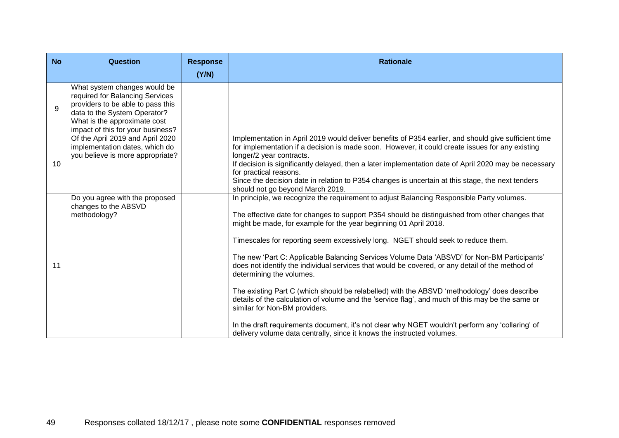| <b>No</b>       | <b>Question</b>                                                                                                                                                                                           | <b>Response</b> | <b>Rationale</b>                                                                                                                                                                                                                                                                                                                                                                                                                                                                                                                                                                                                                                                                                                                                                                                                                                                                                                                                                                                   |
|-----------------|-----------------------------------------------------------------------------------------------------------------------------------------------------------------------------------------------------------|-----------------|----------------------------------------------------------------------------------------------------------------------------------------------------------------------------------------------------------------------------------------------------------------------------------------------------------------------------------------------------------------------------------------------------------------------------------------------------------------------------------------------------------------------------------------------------------------------------------------------------------------------------------------------------------------------------------------------------------------------------------------------------------------------------------------------------------------------------------------------------------------------------------------------------------------------------------------------------------------------------------------------------|
|                 |                                                                                                                                                                                                           | (Y/N)           |                                                                                                                                                                                                                                                                                                                                                                                                                                                                                                                                                                                                                                                                                                                                                                                                                                                                                                                                                                                                    |
| 9               | What system changes would be<br>required for Balancing Services<br>providers to be able to pass this<br>data to the System Operator?<br>What is the approximate cost<br>impact of this for your business? |                 |                                                                                                                                                                                                                                                                                                                                                                                                                                                                                                                                                                                                                                                                                                                                                                                                                                                                                                                                                                                                    |
| 10 <sup>°</sup> | Of the April 2019 and April 2020<br>implementation dates, which do<br>you believe is more appropriate?                                                                                                    |                 | Implementation in April 2019 would deliver benefits of P354 earlier, and should give sufficient time<br>for implementation if a decision is made soon. However, it could create issues for any existing<br>longer/2 year contracts.<br>If decision is significantly delayed, then a later implementation date of April 2020 may be necessary<br>for practical reasons.<br>Since the decision date in relation to P354 changes is uncertain at this stage, the next tenders<br>should not go beyond March 2019.                                                                                                                                                                                                                                                                                                                                                                                                                                                                                     |
| 11              | Do you agree with the proposed<br>changes to the ABSVD<br>methodology?                                                                                                                                    |                 | In principle, we recognize the requirement to adjust Balancing Responsible Party volumes.<br>The effective date for changes to support P354 should be distinguished from other changes that<br>might be made, for example for the year beginning 01 April 2018.<br>Timescales for reporting seem excessively long. NGET should seek to reduce them.<br>The new 'Part C: Applicable Balancing Services Volume Data 'ABSVD' for Non-BM Participants'<br>does not identify the individual services that would be covered, or any detail of the method of<br>determining the volumes.<br>The existing Part C (which should be relabelled) with the ABSVD 'methodology' does describe<br>details of the calculation of volume and the 'service flag', and much of this may be the same or<br>similar for Non-BM providers.<br>In the draft requirements document, it's not clear why NGET wouldn't perform any 'collaring' of<br>delivery volume data centrally, since it knows the instructed volumes. |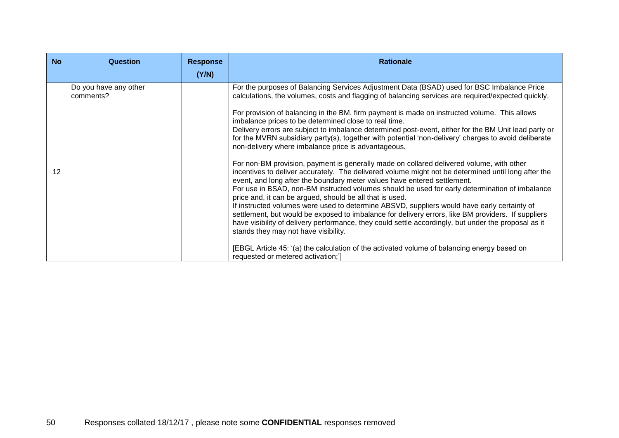| <b>No</b> | Question                           | <b>Response</b> | <b>Rationale</b>                                                                                                                                                                                                                                                                                                                                                                                                                                                                                                                                                                                                                                                                                                                                                                                                                                                                                                                                                                                                                                                                                                                                                                                                                                                                                                                                                                                                                                                                                                                                                        |
|-----------|------------------------------------|-----------------|-------------------------------------------------------------------------------------------------------------------------------------------------------------------------------------------------------------------------------------------------------------------------------------------------------------------------------------------------------------------------------------------------------------------------------------------------------------------------------------------------------------------------------------------------------------------------------------------------------------------------------------------------------------------------------------------------------------------------------------------------------------------------------------------------------------------------------------------------------------------------------------------------------------------------------------------------------------------------------------------------------------------------------------------------------------------------------------------------------------------------------------------------------------------------------------------------------------------------------------------------------------------------------------------------------------------------------------------------------------------------------------------------------------------------------------------------------------------------------------------------------------------------------------------------------------------------|
|           |                                    | (Y/N)           |                                                                                                                                                                                                                                                                                                                                                                                                                                                                                                                                                                                                                                                                                                                                                                                                                                                                                                                                                                                                                                                                                                                                                                                                                                                                                                                                                                                                                                                                                                                                                                         |
| 12        | Do you have any other<br>comments? |                 | For the purposes of Balancing Services Adjustment Data (BSAD) used for BSC Imbalance Price<br>calculations, the volumes, costs and flagging of balancing services are required/expected quickly.<br>For provision of balancing in the BM, firm payment is made on instructed volume. This allows<br>imbalance prices to be determined close to real time.<br>Delivery errors are subject to imbalance determined post-event, either for the BM Unit lead party or<br>for the MVRN subsidiary party(s), together with potential 'non-delivery' charges to avoid deliberate<br>non-delivery where imbalance price is advantageous.<br>For non-BM provision, payment is generally made on collared delivered volume, with other<br>incentives to deliver accurately. The delivered volume might not be determined until long after the<br>event, and long after the boundary meter values have entered settlement.<br>For use in BSAD, non-BM instructed volumes should be used for early determination of imbalance<br>price and, it can be argued, should be all that is used.<br>If instructed volumes were used to determine ABSVD, suppliers would have early certainty of<br>settlement, but would be exposed to imbalance for delivery errors, like BM providers. If suppliers<br>have visibility of delivery performance, they could settle accordingly, but under the proposal as it<br>stands they may not have visibility.<br>[EBGL Article 45: '(a) the calculation of the activated volume of balancing energy based on<br>requested or metered activation;'] |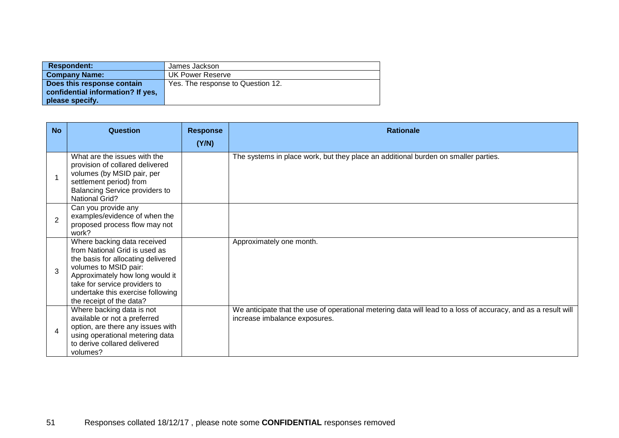| <b>Respondent:</b>                                                                 | James Jackson                     |
|------------------------------------------------------------------------------------|-----------------------------------|
| <b>Company Name:</b>                                                               | UK Power Reserve                  |
| Does this response contain<br>confidential information? If yes,<br>please specify. | Yes. The response to Question 12. |

| <b>No</b>      | Question                                                                                                                                                                                                                                                         | <b>Response</b> | <b>Rationale</b>                                                                                                                               |
|----------------|------------------------------------------------------------------------------------------------------------------------------------------------------------------------------------------------------------------------------------------------------------------|-----------------|------------------------------------------------------------------------------------------------------------------------------------------------|
|                | What are the issues with the<br>provision of collared delivered<br>volumes (by MSID pair, per<br>settlement period) from<br>Balancing Service providers to<br><b>National Grid?</b>                                                                              | (Y/N)           | The systems in place work, but they place an additional burden on smaller parties.                                                             |
| $\overline{2}$ | Can you provide any<br>examples/evidence of when the<br>proposed process flow may not<br>work?                                                                                                                                                                   |                 |                                                                                                                                                |
| 3              | Where backing data received<br>from National Grid is used as<br>the basis for allocating delivered<br>volumes to MSID pair:<br>Approximately how long would it<br>take for service providers to<br>undertake this exercise following<br>the receipt of the data? |                 | Approximately one month.                                                                                                                       |
| $\overline{4}$ | Where backing data is not<br>available or not a preferred<br>option, are there any issues with<br>using operational metering data<br>to derive collared delivered<br>volumes?                                                                                    |                 | We anticipate that the use of operational metering data will lead to a loss of accuracy, and as a result will<br>increase imbalance exposures. |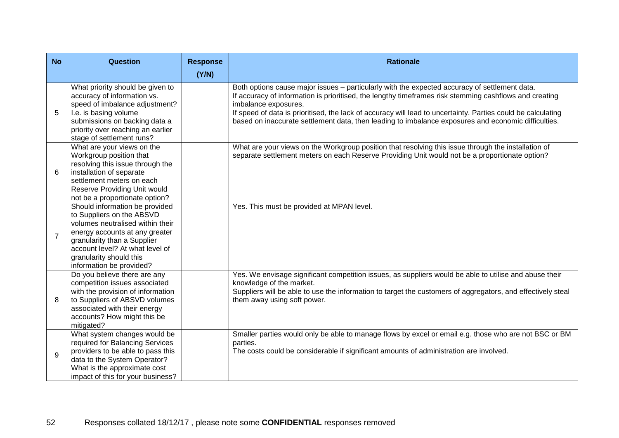| <b>No</b>      | <b>Question</b>                                                                                                                                                                                                                                            | <b>Response</b> | <b>Rationale</b>                                                                                                                                                                                                                                                                                                                                                                                                                                       |
|----------------|------------------------------------------------------------------------------------------------------------------------------------------------------------------------------------------------------------------------------------------------------------|-----------------|--------------------------------------------------------------------------------------------------------------------------------------------------------------------------------------------------------------------------------------------------------------------------------------------------------------------------------------------------------------------------------------------------------------------------------------------------------|
|                |                                                                                                                                                                                                                                                            | (Y/N)           |                                                                                                                                                                                                                                                                                                                                                                                                                                                        |
| 5              | What priority should be given to<br>accuracy of information vs.<br>speed of imbalance adjustment?<br>I.e. is basing volume<br>submissions on backing data a<br>priority over reaching an earlier<br>stage of settlement runs?                              |                 | Both options cause major issues - particularly with the expected accuracy of settlement data.<br>If accuracy of information is prioritised, the lengthy timeframes risk stemming cashflows and creating<br>imbalance exposures.<br>If speed of data is prioritised, the lack of accuracy will lead to uncertainty. Parties could be calculating<br>based on inaccurate settlement data, then leading to imbalance exposures and economic difficulties. |
| 6              | What are your views on the<br>Workgroup position that<br>resolving this issue through the<br>installation of separate<br>settlement meters on each<br>Reserve Providing Unit would<br>not be a proportionate option?                                       |                 | What are your views on the Workgroup position that resolving this issue through the installation of<br>separate settlement meters on each Reserve Providing Unit would not be a proportionate option?                                                                                                                                                                                                                                                  |
| $\overline{7}$ | Should information be provided<br>to Suppliers on the ABSVD<br>volumes neutralised within their<br>energy accounts at any greater<br>granularity than a Supplier<br>account level? At what level of<br>granularity should this<br>information be provided? |                 | Yes. This must be provided at MPAN level.                                                                                                                                                                                                                                                                                                                                                                                                              |
| 8              | Do you believe there are any<br>competition issues associated<br>with the provision of information<br>to Suppliers of ABSVD volumes<br>associated with their energy<br>accounts? How might this be<br>mitigated?                                           |                 | Yes. We envisage significant competition issues, as suppliers would be able to utilise and abuse their<br>knowledge of the market.<br>Suppliers will be able to use the information to target the customers of aggregators, and effectively steal<br>them away using soft power.                                                                                                                                                                       |
| $\mathbf{Q}$   | What system changes would be<br>required for Balancing Services<br>providers to be able to pass this<br>data to the System Operator?<br>What is the approximate cost<br>impact of this for your business?                                                  |                 | Smaller parties would only be able to manage flows by excel or email e.g. those who are not BSC or BM<br>parties.<br>The costs could be considerable if significant amounts of administration are involved.                                                                                                                                                                                                                                            |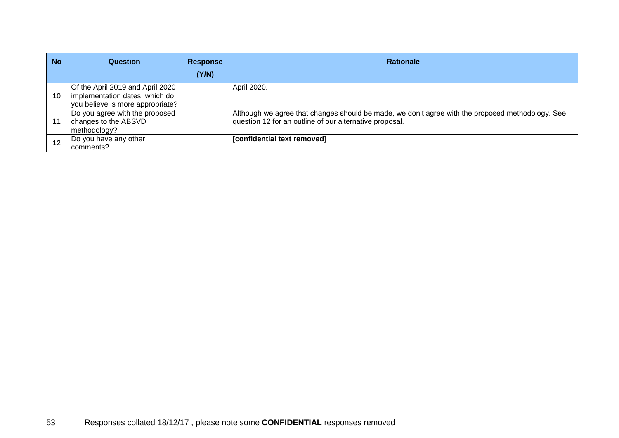| <b>No</b> | Question                                                                                               | <b>Response</b> | <b>Rationale</b>                                                                                                                                            |
|-----------|--------------------------------------------------------------------------------------------------------|-----------------|-------------------------------------------------------------------------------------------------------------------------------------------------------------|
|           |                                                                                                        | (Y/N)           |                                                                                                                                                             |
| 10        | Of the April 2019 and April 2020<br>implementation dates, which do<br>you believe is more appropriate? |                 | April 2020.                                                                                                                                                 |
| 11        | Do you agree with the proposed<br>changes to the ABSVD<br>methodology?                                 |                 | Although we agree that changes should be made, we don't agree with the proposed methodology. See<br>question 12 for an outline of our alternative proposal. |
| 12        | Do you have any other<br>comments?                                                                     |                 | [confidential text removed]                                                                                                                                 |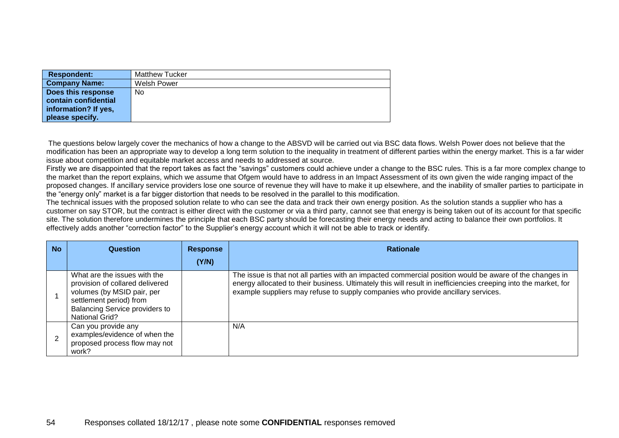| <b>Respondent:</b>   | <b>Matthew Tucker</b> |
|----------------------|-----------------------|
| <b>Company Name:</b> | Welsh Power           |
| Does this response   | No                    |
| contain confidential |                       |
| information? If yes, |                       |
| please specify.      |                       |

The questions below largely cover the mechanics of how a change to the ABSVD will be carried out via BSC data flows. Welsh Power does not believe that the modification has been an appropriate way to develop a long term solution to the inequality in treatment of different parties within the energy market. This is a far wider issue about competition and equitable market access and needs to addressed at source.

Firstly we are disappointed that the report takes as fact the "savings" customers could achieve under a change to the BSC rules. This is a far more complex change to the market than the report explains, which we assume that Ofgem would have to address in an Impact Assessment of its own given the wide ranging impact of the proposed changes. If ancillary service providers lose one source of revenue they will have to make it up elsewhere, and the inability of smaller parties to participate in the "energy only" market is a far bigger distortion that needs to be resolved in the parallel to this modification.

The technical issues with the proposed solution relate to who can see the data and track their own energy position. As the solution stands a supplier who has a customer on say STOR, but the contract is either direct with the customer or via a third party, cannot see that energy is being taken out of its account for that specific site. The solution therefore undermines the principle that each BSC party should be forecasting their energy needs and acting to balance their own portfolios. It effectively adds another "correction factor" to the Supplier's energy account which it will not be able to track or identify.

| <b>No</b> | Question                                                                                                                                                                                   | <b>Response</b> | <b>Rationale</b>                                                                                                                                                                                                                                                                                               |
|-----------|--------------------------------------------------------------------------------------------------------------------------------------------------------------------------------------------|-----------------|----------------------------------------------------------------------------------------------------------------------------------------------------------------------------------------------------------------------------------------------------------------------------------------------------------------|
|           |                                                                                                                                                                                            | (Y/N)           |                                                                                                                                                                                                                                                                                                                |
|           | What are the issues with the<br>provision of collared delivered<br>volumes (by MSID pair, per<br>settlement period) from<br><b>Balancing Service providers to</b><br><b>National Grid?</b> |                 | The issue is that not all parties with an impacted commercial position would be aware of the changes in<br>energy allocated to their business. Ultimately this will result in inefficiencies creeping into the market, for<br>example suppliers may refuse to supply companies who provide ancillary services. |
|           | Can you provide any<br>examples/evidence of when the<br>proposed process flow may not<br>work?                                                                                             |                 | N/A                                                                                                                                                                                                                                                                                                            |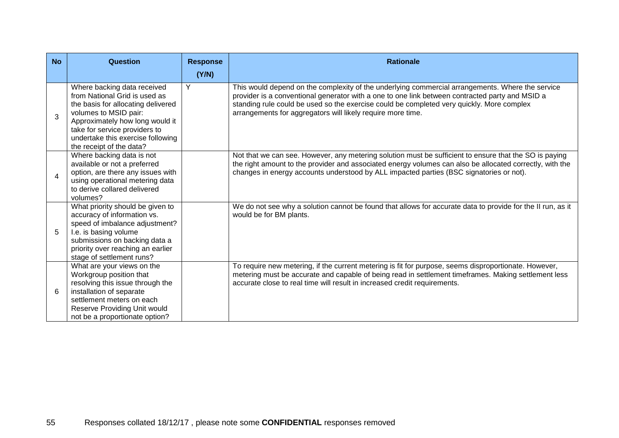| <b>No</b> | Question                                                                                                                                                                                                                                                         | <b>Response</b> | <b>Rationale</b>                                                                                                                                                                                                                                                                                                                                                |
|-----------|------------------------------------------------------------------------------------------------------------------------------------------------------------------------------------------------------------------------------------------------------------------|-----------------|-----------------------------------------------------------------------------------------------------------------------------------------------------------------------------------------------------------------------------------------------------------------------------------------------------------------------------------------------------------------|
|           |                                                                                                                                                                                                                                                                  | (Y/N)           |                                                                                                                                                                                                                                                                                                                                                                 |
| 3         | Where backing data received<br>from National Grid is used as<br>the basis for allocating delivered<br>volumes to MSID pair:<br>Approximately how long would it<br>take for service providers to<br>undertake this exercise following<br>the receipt of the data? | Y               | This would depend on the complexity of the underlying commercial arrangements. Where the service<br>provider is a conventional generator with a one to one link between contracted party and MSID a<br>standing rule could be used so the exercise could be completed very quickly. More complex<br>arrangements for aggregators will likely require more time. |
| 4         | Where backing data is not<br>available or not a preferred<br>option, are there any issues with<br>using operational metering data<br>to derive collared delivered<br>volumes?                                                                                    |                 | Not that we can see. However, any metering solution must be sufficient to ensure that the SO is paying<br>the right amount to the provider and associated energy volumes can also be allocated correctly, with the<br>changes in energy accounts understood by ALL impacted parties (BSC signatories or not).                                                   |
| 5         | What priority should be given to<br>accuracy of information vs.<br>speed of imbalance adjustment?<br>I.e. is basing volume<br>submissions on backing data a<br>priority over reaching an earlier<br>stage of settlement runs?                                    |                 | We do not see why a solution cannot be found that allows for accurate data to provide for the II run, as it<br>would be for BM plants.                                                                                                                                                                                                                          |
| 6         | What are your views on the<br>Workgroup position that<br>resolving this issue through the<br>installation of separate<br>settlement meters on each<br>Reserve Providing Unit would<br>not be a proportionate option?                                             |                 | To require new metering, if the current metering is fit for purpose, seems disproportionate. However,<br>metering must be accurate and capable of being read in settlement timeframes. Making settlement less<br>accurate close to real time will result in increased credit requirements.                                                                      |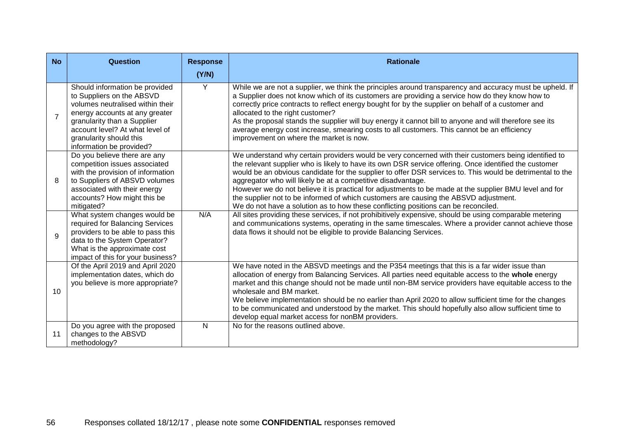| <b>No</b>      | Question                                                                                                                                                                                                                                                   | <b>Response</b> | <b>Rationale</b>                                                                                                                                                                                                                                                                                                                                                                                                                                                                                                                                                                                                                                                                    |
|----------------|------------------------------------------------------------------------------------------------------------------------------------------------------------------------------------------------------------------------------------------------------------|-----------------|-------------------------------------------------------------------------------------------------------------------------------------------------------------------------------------------------------------------------------------------------------------------------------------------------------------------------------------------------------------------------------------------------------------------------------------------------------------------------------------------------------------------------------------------------------------------------------------------------------------------------------------------------------------------------------------|
| $\overline{7}$ | Should information be provided<br>to Suppliers on the ABSVD<br>volumes neutralised within their<br>energy accounts at any greater<br>granularity than a Supplier<br>account level? At what level of<br>granularity should this<br>information be provided? | (Y/N)<br>Y      | While we are not a supplier, we think the principles around transparency and accuracy must be upheld. If<br>a Supplier does not know which of its customers are providing a service how do they know how to<br>correctly price contracts to reflect energy bought for by the supplier on behalf of a customer and<br>allocated to the right customer?<br>As the proposal stands the supplier will buy energy it cannot bill to anyone and will therefore see its<br>average energy cost increase, smearing costs to all customers. This cannot be an efficiency<br>improvement on where the market is now.                                                                          |
| 8              | Do you believe there are any<br>competition issues associated<br>with the provision of information<br>to Suppliers of ABSVD volumes<br>associated with their energy<br>accounts? How might this be<br>mitigated?                                           |                 | We understand why certain providers would be very concerned with their customers being identified to<br>the relevant supplier who is likely to have its own DSR service offering. Once identified the customer<br>would be an obvious candidate for the supplier to offer DSR services to. This would be detrimental to the<br>aggregator who will likely be at a competitive disadvantage.<br>However we do not believe it is practical for adjustments to be made at the supplier BMU level and for<br>the supplier not to be informed of which customers are causing the ABSVD adjustment.<br>We do not have a solution as to how these conflicting positions can be reconciled. |
| $\mathsf{Q}$   | What system changes would be<br>required for Balancing Services<br>providers to be able to pass this<br>data to the System Operator?<br>What is the approximate cost<br>impact of this for your business?                                                  | N/A             | All sites providing these services, if not prohibitively expensive, should be using comparable metering<br>and communications systems, operating in the same timescales. Where a provider cannot achieve those<br>data flows it should not be eligible to provide Balancing Services.                                                                                                                                                                                                                                                                                                                                                                                               |
| 10             | Of the April 2019 and April 2020<br>implementation dates, which do<br>you believe is more appropriate?                                                                                                                                                     |                 | We have noted in the ABSVD meetings and the P354 meetings that this is a far wider issue than<br>allocation of energy from Balancing Services. All parties need equitable access to the whole energy<br>market and this change should not be made until non-BM service providers have equitable access to the<br>wholesale and BM market.<br>We believe implementation should be no earlier than April 2020 to allow sufficient time for the changes<br>to be communicated and understood by the market. This should hopefully also allow sufficient time to<br>develop equal market access for nonBM providers.                                                                    |
| 11             | Do you agree with the proposed<br>changes to the ABSVD<br>methodology?                                                                                                                                                                                     | $\mathsf{N}$    | No for the reasons outlined above.                                                                                                                                                                                                                                                                                                                                                                                                                                                                                                                                                                                                                                                  |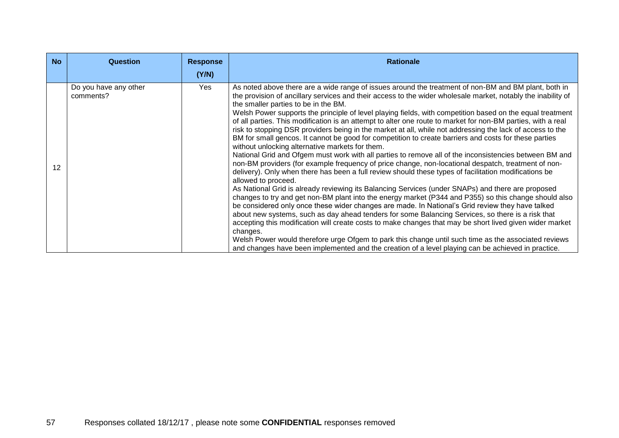| <b>No</b> | <b>Question</b>                    | <b>Response</b> | <b>Rationale</b>                                                                                                                                                                                                                                                                                                                                                                                                                                                                                                                                                                                                                                                                                                                                                                                                                                                                                                                                                                                                                                                                                                                                                                                                                                                                                                                                                                                                                                                                                                                                                                                                                                                                                                                                                                                                                                                                 |
|-----------|------------------------------------|-----------------|----------------------------------------------------------------------------------------------------------------------------------------------------------------------------------------------------------------------------------------------------------------------------------------------------------------------------------------------------------------------------------------------------------------------------------------------------------------------------------------------------------------------------------------------------------------------------------------------------------------------------------------------------------------------------------------------------------------------------------------------------------------------------------------------------------------------------------------------------------------------------------------------------------------------------------------------------------------------------------------------------------------------------------------------------------------------------------------------------------------------------------------------------------------------------------------------------------------------------------------------------------------------------------------------------------------------------------------------------------------------------------------------------------------------------------------------------------------------------------------------------------------------------------------------------------------------------------------------------------------------------------------------------------------------------------------------------------------------------------------------------------------------------------------------------------------------------------------------------------------------------------|
|           |                                    | (Y/N)           |                                                                                                                                                                                                                                                                                                                                                                                                                                                                                                                                                                                                                                                                                                                                                                                                                                                                                                                                                                                                                                                                                                                                                                                                                                                                                                                                                                                                                                                                                                                                                                                                                                                                                                                                                                                                                                                                                  |
| 12        | Do you have any other<br>comments? | Yes             | As noted above there are a wide range of issues around the treatment of non-BM and BM plant, both in<br>the provision of ancillary services and their access to the wider wholesale market, notably the inability of<br>the smaller parties to be in the BM.<br>Welsh Power supports the principle of level playing fields, with competition based on the equal treatment<br>of all parties. This modification is an attempt to alter one route to market for non-BM parties, with a real<br>risk to stopping DSR providers being in the market at all, while not addressing the lack of access to the<br>BM for small gencos. It cannot be good for competition to create barriers and costs for these parties<br>without unlocking alternative markets for them.<br>National Grid and Ofgem must work with all parties to remove all of the inconsistencies between BM and<br>non-BM providers (for example frequency of price change, non-locational despatch, treatment of non-<br>delivery). Only when there has been a full review should these types of facilitation modifications be<br>allowed to proceed.<br>As National Grid is already reviewing its Balancing Services (under SNAPs) and there are proposed<br>changes to try and get non-BM plant into the energy market (P344 and P355) so this change should also<br>be considered only once these wider changes are made. In National's Grid review they have talked<br>about new systems, such as day ahead tenders for some Balancing Services, so there is a risk that<br>accepting this modification will create costs to make changes that may be short lived given wider market<br>changes.<br>Welsh Power would therefore urge Ofgem to park this change until such time as the associated reviews<br>and changes have been implemented and the creation of a level playing can be achieved in practice. |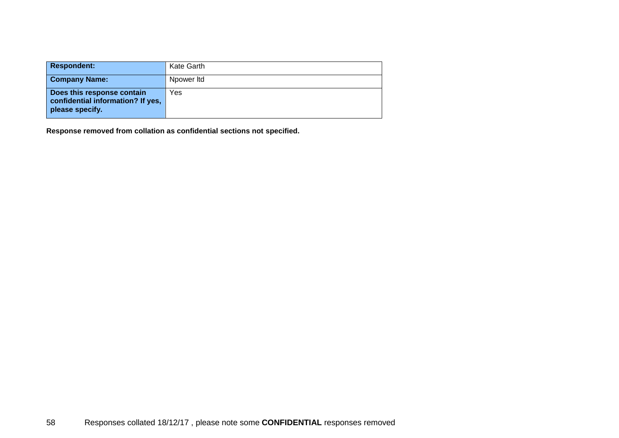| <b>Respondent:</b>                                                                 | Kate Garth |
|------------------------------------------------------------------------------------|------------|
| <b>Company Name:</b>                                                               | Npower Itd |
| Does this response contain<br>confidential information? If yes,<br>please specify. | Yes        |

**Response removed from collation as confidential sections not specified.**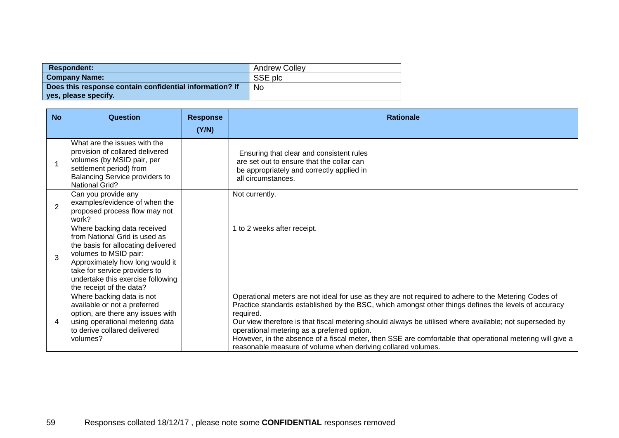| <b>Respondent:</b>                                      | <b>Andrew Colley</b> |
|---------------------------------------------------------|----------------------|
| <b>Company Name:</b>                                    | SSE plc              |
| Does this response contain confidential information? If | No                   |
| yes, please specify.                                    |                      |

| <b>No</b>      | Question                                                                                                                                                                                                                                                         | <b>Response</b><br>(Y/N) | <b>Rationale</b>                                                                                                                                                                                                                                                                                                                                                                                                                                                                                                                                                 |
|----------------|------------------------------------------------------------------------------------------------------------------------------------------------------------------------------------------------------------------------------------------------------------------|--------------------------|------------------------------------------------------------------------------------------------------------------------------------------------------------------------------------------------------------------------------------------------------------------------------------------------------------------------------------------------------------------------------------------------------------------------------------------------------------------------------------------------------------------------------------------------------------------|
|                | What are the issues with the<br>provision of collared delivered<br>volumes (by MSID pair, per<br>settlement period) from<br>Balancing Service providers to<br><b>National Grid?</b>                                                                              |                          | Ensuring that clear and consistent rules<br>are set out to ensure that the collar can<br>be appropriately and correctly applied in<br>all circumstances.                                                                                                                                                                                                                                                                                                                                                                                                         |
| $\overline{2}$ | Can you provide any<br>examples/evidence of when the<br>proposed process flow may not<br>work?                                                                                                                                                                   |                          | Not currently.                                                                                                                                                                                                                                                                                                                                                                                                                                                                                                                                                   |
| 3              | Where backing data received<br>from National Grid is used as<br>the basis for allocating delivered<br>volumes to MSID pair:<br>Approximately how long would it<br>take for service providers to<br>undertake this exercise following<br>the receipt of the data? |                          | 1 to 2 weeks after receipt.                                                                                                                                                                                                                                                                                                                                                                                                                                                                                                                                      |
| $\overline{4}$ | Where backing data is not<br>available or not a preferred<br>option, are there any issues with<br>using operational metering data<br>to derive collared delivered<br>volumes?                                                                                    |                          | Operational meters are not ideal for use as they are not required to adhere to the Metering Codes of<br>Practice standards established by the BSC, which amongst other things defines the levels of accuracy<br>required.<br>Our view therefore is that fiscal metering should always be utilised where available; not superseded by<br>operational metering as a preferred option.<br>However, in the absence of a fiscal meter, then SSE are comfortable that operational metering will give a<br>reasonable measure of volume when deriving collared volumes. |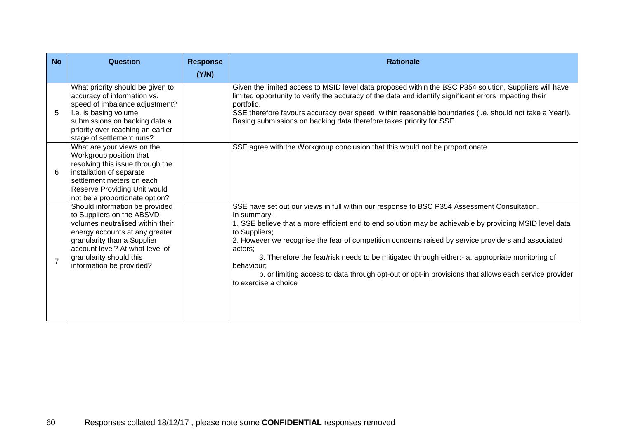| <b>No</b>      | Question                                                                                                                                                                                                                                                   | <b>Response</b><br>(Y/N) | <b>Rationale</b>                                                                                                                                                                                                                                                                                                                                                                                                                                                                                                                                                                                          |
|----------------|------------------------------------------------------------------------------------------------------------------------------------------------------------------------------------------------------------------------------------------------------------|--------------------------|-----------------------------------------------------------------------------------------------------------------------------------------------------------------------------------------------------------------------------------------------------------------------------------------------------------------------------------------------------------------------------------------------------------------------------------------------------------------------------------------------------------------------------------------------------------------------------------------------------------|
| 5              | What priority should be given to<br>accuracy of information vs.<br>speed of imbalance adjustment?<br>I.e. is basing volume<br>submissions on backing data a<br>priority over reaching an earlier<br>stage of settlement runs?                              |                          | Given the limited access to MSID level data proposed within the BSC P354 solution, Suppliers will have<br>limited opportunity to verify the accuracy of the data and identify significant errors impacting their<br>portfolio.<br>SSE therefore favours accuracy over speed, within reasonable boundaries (i.e. should not take a Year!).<br>Basing submissions on backing data therefore takes priority for SSE.                                                                                                                                                                                         |
| 6              | What are your views on the<br>Workgroup position that<br>resolving this issue through the<br>installation of separate<br>settlement meters on each<br>Reserve Providing Unit would<br>not be a proportionate option?                                       |                          | SSE agree with the Workgroup conclusion that this would not be proportionate.                                                                                                                                                                                                                                                                                                                                                                                                                                                                                                                             |
| $\overline{7}$ | Should information be provided<br>to Suppliers on the ABSVD<br>volumes neutralised within their<br>energy accounts at any greater<br>granularity than a Supplier<br>account level? At what level of<br>granularity should this<br>information be provided? |                          | SSE have set out our views in full within our response to BSC P354 Assessment Consultation.<br>In summary:-<br>1. SSE believe that a more efficient end to end solution may be achievable by providing MSID level data<br>to Suppliers;<br>2. However we recognise the fear of competition concerns raised by service providers and associated<br>actors:<br>3. Therefore the fear/risk needs to be mitigated through either:- a. appropriate monitoring of<br>behaviour:<br>b. or limiting access to data through opt-out or opt-in provisions that allows each service provider<br>to exercise a choice |